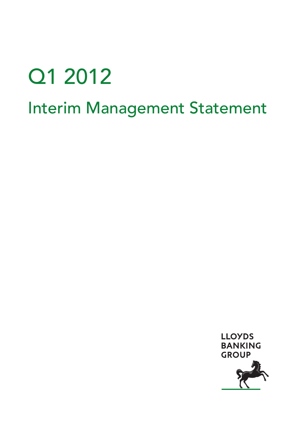# Q1 2012 Interim Management Statement

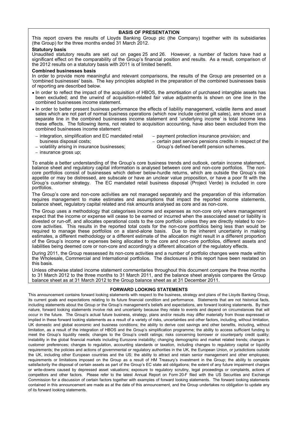#### **BASIS OF PRESENTATION**

This report covers the results of Lloyds Banking Group plc (the Company) together with its subsidiaries (the Group) for the three months ended 31 March 2012.

#### **Statutory basis**

Unaudited statutory results are set out on pages 25 and 26. However, a number of factors have had a significant effect on the comparability of the Group's financial position and results. As a result, comparison of the 2012 results on a statutory basis with 2011 is of limited benefit.

#### **Combined businesses basis**

In order to provide more meaningful and relevant comparisons, the results of the Group are presented on a 'combined businesses' basis. The key principles adopted in the preparation of the combined businesses basis of reporting are described below.

- In order to reflect the impact of the acquisition of HBOS, the amortisation of purchased intangible assets has been excluded; and the unwind of acquisition-related fair value adjustments is shown on one line in the combined businesses income statement.
- In order to better present business performance the effects of liability management, volatile items and asset sales which are not part of normal business operations (which now include central gilt sales), are shown on a separate line in the combined businesses income statement and 'underlying income' is total income less these effects. The following items, not related to acquisition accounting, have also been excluded from the combined businesses income statement:
	- integration, simplification and EC mandated retail business disposal costs;
- payment protection insurance provision; and
- volatility arising in insurance businesses;
- certain past service pensions credits in respect of the Group's defined benefit pension schemes.

– insurance gross up;

To enable a better understanding of the Group's core business trends and outlook, certain income statement, balance sheet and regulatory capital information is analysed between core and non-core portfolios. The noncore portfolios consist of businesses which deliver below-hurdle returns, which are outside the Group's risk appetite or may be distressed, are subscale or have an unclear value proposition, or have a poor fit with the Group's customer strategy. The EC mandated retail business disposal (Project Verde) is included in core portfolios.

The Group's core and non-core activities are not managed separately and the preparation of this information requires management to make estimates and assumptions that impact the reported income statements, balance sheet, regulatory capital related and risk amounts analysed as core and as non-core.

The Group uses a methodology that categorises income and expenses as non-core only where management expect that the income or expense will cease to be earned or incurred when the associated asset or liability is divested or run-off, and allocates operational costs to the core portfolio unless they are directly related to noncore activities. This results in the reported total costs for the non-core portfolios being less than would be required to manage these portfolios on a stand-alone basis. Due to the inherent uncertainty in making estimates, a different methodology or a different estimate of the allocation might result in a different proportion of the Group's income or expenses being allocated to the core and non-core portfolios, different assets and liabilities being deemed core or non-core and accordingly a different allocation of the regulatory effects.

During 2011, the Group reassessed its non-core activities and a number of portfolio changes were made within the Wholesale, Commercial and International portfolios. The disclosures in this report have been restated on this basis.

Unless otherwise stated income statement commentaries throughout this document compare the three months to 31 March 2012 to the three months to 31 March 2011, and the balance sheet analysis compares the Group balance sheet as at 31 March 2012 to the Group balance sheet as at 31 December 2011.

#### **FORWARD LOOKING STATEMENTS**

This announcement contains forward looking statements with respect to the business, strategy and plans of the Lloyds Banking Group, its current goals and expectations relating to its future financial condition and performance. Statements that are not historical facts, including statements about the Group or the Group's management's beliefs and expectations, are forward looking statements. By their nature, forward looking statements involve risk and uncertainty because they relate to events and depend on circumstances that will occur in the future. The Group's actual future business, strategy, plans and/or results may differ materially from those expressed or implied in these forward looking statements as a result of a variety of risks, uncertainties and other factors, including, without limitation, UK domestic and global economic and business conditions; the ability to derive cost savings and other benefits, including, without limitation, as a result of the integration of HBOS and the Group's simplification programme; the ability to access sufficient funding to meet the Group's liquidity needs; changes to the Group's credit ratings; risks concerning borrower or counterparty credit quality; instability in the global financial markets including Eurozone instability; changing demographic and market related trends; changes in customer preferences; changes to regulation, accounting standards or taxation, including changes to regulatory capital or liquidity requirements; the policies and actions of governmental or regulatory authorities in the UK, the European Union, or jurisdictions outside the UK, including other European countries and the US; the ability to attract and retain senior management and other employees; requirements or limitations imposed on the Group as a result of HM Treasury's investment in the Group; the ability to complete satisfactorily the disposal of certain assets as part of the Group's EC state aid obligations; the extent of any future impairment charges or write-downs caused by depressed asset valuations; exposure to regulatory scrutiny, legal proceedings or complaints, actions of competitors and other factors. Please refer to the latest Annual Report on Form 20-F filed with the US Securities and Exchange Commission for a discussion of certain factors together with examples of forward looking statements. The forward looking statements contained in this announcement are made as at the date of this announcement, and the Group undertakes no obligation to update any of its forward looking statements.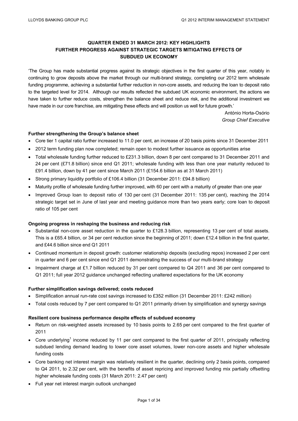# **QUARTER ENDED 31 MARCH 2012: KEY HIGHLIGHTS FURTHER PROGRESS AGAINST STRATEGIC TARGETS MITIGATING EFFECTS OF SUBDUED UK ECONOMY**

'The Group has made substantial progress against its strategic objectives in the first quarter of this year, notably in continuing to grow deposits above the market through our multi-brand strategy, completing our 2012 term wholesale funding programme, achieving a substantial further reduction in non-core assets, and reducing the loan to deposit ratio to the targeted level for 2014. Although our results reflected the subdued UK economic environment, the actions we have taken to further reduce costs, strengthen the balance sheet and reduce risk, and the additional investment we have made in our core franchise, are mitigating these effects and will position us well for future growth.'

> António Horta-Osório *Group Chief Executive*

# **Further strengthening the Group's balance sheet**

- Core tier 1 capital ratio further increased to 11.0 per cent, an increase of 20 basis points since 31 December 2011
- 2012 term funding plan now completed; remain open to modest further issuance as opportunities arise
- Total wholesale funding further reduced to £231.3 billion, down 8 per cent compared to 31 December 2011 and 24 per cent (£71.8 billion) since end Q1 2011; wholesale funding with less than one year maturity reduced to £91.4 billion, down by 41 per cent since March 2011 (£154.6 billion as at 31 March 2011)
- Strong primary liquidity portfolio of £106.4 billion (31 December 2011: £94.8 billion)
- Maturity profile of wholesale funding further improved, with 60 per cent with a maturity of greater than one year
- Improved Group loan to deposit ratio of 130 per cent (31 December 2011: 135 per cent), reaching the 2014 strategic target set in June of last year and meeting guidance more than two years early; core loan to deposit ratio of 105 per cent

#### **Ongoing progress in reshaping the business and reducing risk**

- Substantial non-core asset reduction in the quarter to £128.3 billion, representing 13 per cent of total assets. This is a £65.4 billion, or 34 per cent reduction since the beginning of 2011; down £12.4 billion in the first quarter, and £44.6 billion since end Q1 2011
- Continued momentum in deposit growth: customer relationship deposits (excluding repos) increased 2 per cent in quarter and 6 per cent since end Q1 2011 demonstrating the success of our multi-brand strategy
- Impairment charge at £1.7 billion reduced by 31 per cent compared to Q4 2011 and 36 per cent compared to Q1 2011; full year 2012 guidance unchanged reflecting unaltered expectations for the UK economy

#### **Further simplification savings delivered; costs reduced**

- Simplification annual run-rate cost savings increased to £352 million (31 December 2011: £242 million)
- Total costs reduced by 7 per cent compared to Q1 2011 primarily driven by simplification and synergy savings

#### **Resilient core business performance despite effects of subdued economy**

- Return on risk-weighted assets increased by 10 basis points to 2.65 per cent compared to the first quarter of 2011
- Core underlying<sup>1</sup> income reduced by 11 per cent compared to the first quarter of 2011, principally reflecting subdued lending demand leading to lower core asset volumes, lower non-core assets and higher wholesale funding costs
- Core banking net interest margin was relatively resilient in the quarter, declining only 2 basis points, compared to Q4 2011, to 2.32 per cent, with the benefits of asset repricing and improved funding mix partially offsetting higher wholesale funding costs (31 March 2011: 2.47 per cent)
- Full year net interest margin outlook unchanged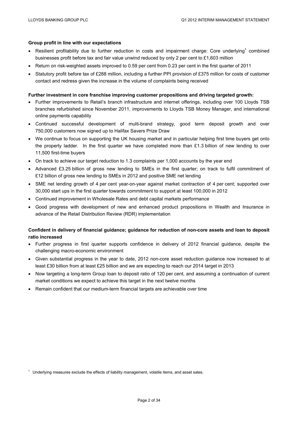#### **Group profit in line with our expectations**

- Resilient profitability due to further reduction in costs and impairment charge: Core underlying<sup>1</sup> combined businesses profit before tax and fair value unwind reduced by only 2 per cent to £1,603 million
- Return on risk-weighted assets improved to 0.59 per cent from 0.23 per cent in the first quarter of 2011
- Statutory profit before tax of £288 million, including a further PPI provision of £375 million for costs of customer contact and redress given the increase in the volume of complaints being received

#### **Further investment in core franchise improving customer propositions and driving targeted growth:**

- Further improvements to Retail's branch infrastructure and internet offerings, including over 100 Lloyds TSB branches refurbished since November 2011, improvements to Lloyds TSB Money Manager, and international online payments capability
- Continued successful development of multi-brand strategy, good term deposit growth and over 750,000 customers now signed up to Halifax Savers Prize Draw
- We continue to focus on supporting the UK housing market and in particular helping first time buyers get onto the property ladder. In the first quarter we have completed more than  $£1.3$  billion of new lending to over 11,500 first-time buyers
- On track to achieve our target reduction to 1.3 complaints per 1,000 accounts by the year end
- Advanced £3.25 billion of gross new lending to SMEs in the first quarter; on track to fulfil commitment of £12 billion of gross new lending to SMEs in 2012 and positive SME net lending
- SME net lending growth of 4 per cent year-on-year against market contraction of 4 per cent; supported over 30,000 start ups in the first quarter towards commitment to support at least 100,000 in 2012
- Continued improvement in Wholesale Rates and debt capital markets performance
- Good progress with development of new and enhanced product propositions in Wealth and Insurance in advance of the Retail Distribution Review (RDR) implementation

# **Confident in delivery of financial guidance; guidance for reduction of non-core assets and loan to deposit ratio increased**

- Further progress in first quarter supports confidence in delivery of 2012 financial guidance, despite the challenging macro-economic environment
- Given substantial progress in the year to date, 2012 non-core asset reduction guidance now increased to at least £30 billion from at least £25 billion and we are expecting to reach our 2014 target in 2013
- Now targeting a long-term Group loan to deposit ratio of 120 per cent, and assuming a continuation of current market conditions we expect to achieve this target in the next twelve months
- Remain confident that our medium-term financial targets are achievable over time

 $<sup>1</sup>$  Underlying measures exclude the effects of liability management, volatile items, and asset sales.</sup>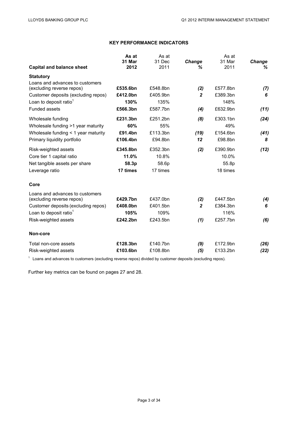# **KEY PERFORMANCE INDICATORS**

|                                     | As at<br>As at |          |                | As at    |        |
|-------------------------------------|----------------|----------|----------------|----------|--------|
|                                     | 31 Mar         | 31 Dec   | Change         | 31 Mar   | Change |
| <b>Capital and balance sheet</b>    | 2012           | 2011     | ℅              | 2011     | %      |
| <b>Statutory</b>                    |                |          |                |          |        |
| Loans and advances to customers     |                |          |                |          |        |
| (excluding reverse repos)           | £535.6bn       | £548.8bn | (2)            | £577.8bn | (7)    |
| Customer deposits (excluding repos) | £412.0bn       | £405.9bn | $\overline{2}$ | £389.3bn | 6      |
| Loan to deposit ratio <sup>1</sup>  | 130%           | 135%     |                | 148%     |        |
| <b>Funded assets</b>                | £566.3bn       | £587.7bn | (4)            | £632.9bn | (11)   |
| Wholesale funding                   | £231.3bn       | £251.2bn | (8)            | £303.1bn | (24)   |
| Wholesale funding >1 year maturity  | 60%            | 55%      |                | 49%      |        |
| Wholesale funding < 1 year maturity | £91.4bn        | £113.3bn | (19)           | £154.6bn | (41)   |
| Primary liquidity portfolio         | £106.4bn       | £94.8bn  | 12             | £98.8bn  | 8      |
| Risk-weighted assets                | £345.8bn       | £352.3bn | (2)            | £390.9bn | (12)   |
| Core tier 1 capital ratio           | 11.0%          | 10.8%    |                | 10.0%    |        |
| Net tangible assets per share       | 58.3p          | 58.6p    |                | 55.8p    |        |
| Leverage ratio                      | 17 times       | 17 times |                | 18 times |        |
| Core                                |                |          |                |          |        |
| Loans and advances to customers     |                |          |                |          |        |
| (excluding reverse repos)           | £429.7bn       | £437.0bn | (2)            | £447.5bn | (4)    |
| Customer deposits (excluding repos) | £408.0bn       | £401.5bn | $\mathbf{2}$   | £384.3bn | 6      |
| Loan to deposit ratio <sup>1</sup>  | 105%           | 109%     |                | 116%     |        |
| Risk-weighted assets                | £242.2bn       | £243.5bn | (1)            | £257.7bn | (6)    |
| Non-core                            |                |          |                |          |        |
| Total non-core assets               | £128.3bn       | £140.7bn | (9)            | £172.9bn | (26)   |
| Risk-weighted assets                | £103.6bn       | £108.8bn | (5)            | £133.2bn | (22)   |

<sup>1</sup> Loans and advances to customers (excluding reverse repos) divided by customer deposits (excluding repos).

Further key metrics can be found on pages 27 and 28.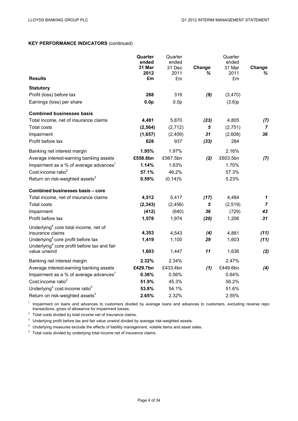# **KEY PERFORMANCE INDICATORS** (continued)

|                                                                                                           | Quarter<br>ended<br>31 Mar<br>2012 | Quarter<br>ended<br>31 Dec<br>2011 | Change<br>℅ | Quarter<br>ended<br>31 Mar<br>2011 | <b>Change</b><br>℅ |
|-----------------------------------------------------------------------------------------------------------|------------------------------------|------------------------------------|-------------|------------------------------------|--------------------|
| <b>Results</b>                                                                                            | £m                                 | £m                                 |             | £m                                 |                    |
| <b>Statutory</b>                                                                                          |                                    |                                    |             |                                    |                    |
| Profit (loss) before tax                                                                                  | 288                                | 316                                | (9)         | (3,470)                            |                    |
| Earnings (loss) per share                                                                                 | 0.0 <sub>p</sub>                   | 0.0 <sub>p</sub>                   |             | (3.6)p                             |                    |
| <b>Combined businesses basis</b>                                                                          |                                    |                                    |             |                                    |                    |
| Total income, net of insurance claims                                                                     | 4,491                              | 5,870                              | (23)        | 4,805                              | (7)                |
| <b>Total costs</b>                                                                                        | (2, 564)                           | (2,712)                            | 5           | (2,751)                            | $\overline{7}$     |
| Impairment                                                                                                | (1,657)                            | (2,409)                            | 31          | (2,608)                            | 36                 |
| Profit before tax                                                                                         | 628                                | 937                                | (33)        | 284                                |                    |
| Banking net interest margin                                                                               | 1.95%                              | 1.97%                              |             | 2.16%                              |                    |
| Average interest-earning banking assets                                                                   | £558.8bn                           | £567.5bn                           | (2)         | £603.5bn                           | (7)                |
| Impairment as a % of average advances <sup>1</sup>                                                        | 1.14%                              | 1.63%                              |             | 1.70%                              |                    |
| Cost:income ratio <sup>2</sup>                                                                            | 57.1%                              | 46.2%                              |             | 57.3%                              |                    |
| Return on risk-weighted assets <sup>3</sup>                                                               | 0.59%                              | (0.14)%                            |             | 0.23%                              |                    |
| Combined businesses basis - core                                                                          |                                    |                                    |             |                                    |                    |
| Total income, net of insurance claims                                                                     | 4,512                              | 5,417                              | (17)        | 4,484                              | 1                  |
| Total costs                                                                                               | (2, 343)                           | (2, 456)                           | 5           | (2, 519)                           | $\overline{7}$     |
| Impairment                                                                                                | (412)                              | (640)                              | 36          | (729)                              | 43                 |
| Profit before tax                                                                                         | 1,578                              | 1,974                              | (20)        | 1,206                              | 31                 |
| Underlying <sup>4</sup> core total income, net of                                                         |                                    |                                    |             |                                    |                    |
| insurance claims                                                                                          | 4,353                              | 4,543                              | (4)         | 4,881                              | (11)               |
| Underlying <sup>4</sup> core profit before tax<br>Underlying <sup>4</sup> core profit before tax and fair | 1,419                              | 1,100                              | 29          | 1,603                              | (11)               |
| value unwind                                                                                              | 1,603                              | 1,447                              | 11          | 1,636                              | (2)                |
| Banking net interest margin                                                                               | 2.32%                              | 2.34%                              |             | 2.47%                              |                    |
| Average interest-earning banking assets                                                                   | £429.7bn                           | £433.4bn                           | (1)         | £449.6bn                           | (4)                |
| Impairment as a % of average advances <sup>1</sup>                                                        | 0.36%                              | 0.56%                              |             | 0.64%                              |                    |
| Cost:income ratio <sup>2</sup>                                                                            | 51.9%                              | 45.3%                              |             | 56.2%                              |                    |
| Underlying <sup>4</sup> cost:income ratio <sup>5</sup>                                                    | 53.8%                              | 54.1%                              |             | 51.6%                              |                    |
| Return on risk-weighted assets <sup>3</sup>                                                               | 2.65%                              | 2.32%                              |             | 2.55%                              |                    |

<sup>1</sup> Impairment on loans and advances to customers divided by average loans and advances to customers, excluding reverse repo transactions, gross of allowance for impairment losses.

2 Total costs divided by total income net of insurance claims.

<sup>3</sup> Underlying profit before tax and fair value unwind divided by average risk-weighted assets.

<sup>4</sup> Underlying measures exclude the effects of liability management, volatile items and asset sales.

<sup>5</sup> Total costs divided by underlying total income net of insurance claims.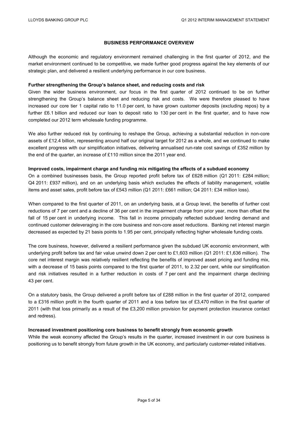#### **BUSINESS PERFORMANCE OVERVIEW**

Although the economic and regulatory environment remained challenging in the first quarter of 2012, and the market environment continued to be competitive, we made further good progress against the key elements of our strategic plan, and delivered a resilient underlying performance in our core business.

#### **Further strengthening the Group's balance sheet, and reducing costs and risk**

Given the wider business environment, our focus in the first quarter of 2012 continued to be on further strengthening the Group's balance sheet and reducing risk and costs. We were therefore pleased to have increased our core tier 1 capital ratio to 11.0 per cent, to have grown customer deposits (excluding repos) by a further £6.1 billion and reduced our loan to deposit ratio to 130 per cent in the first quarter, and to have now completed our 2012 term wholesale funding programme.

We also further reduced risk by continuing to reshape the Group, achieving a substantial reduction in non-core assets of £12.4 billion, representing around half our original target for 2012 as a whole, and we continued to make excellent progress with our simplification initiatives, delivering annualised run-rate cost savings of £352 million by the end of the quarter, an increase of £110 million since the 2011 year end.

#### **Improved costs, impairment charge and funding mix mitigating the effects of a subdued economy**

On a combined businesses basis, the Group reported profit before tax of £628 million (Q1 2011: £284 million; Q4 2011: £937 million), and on an underlying basis which excludes the effects of liability management, volatile items and asset sales, profit before tax of £543 million (Q1 2011: £661 million; Q4 2011: £34 million loss).

When compared to the first quarter of 2011, on an underlying basis, at a Group level, the benefits of further cost reductions of 7 per cent and a decline of 36 per cent in the impairment charge from prior year, more than offset the fall of 15 per cent in underlying income. This fall in income principally reflected subdued lending demand and continued customer deleveraging in the core business and non-core asset reductions. Banking net interest margin decreased as expected by 21 basis points to 1.95 per cent, principally reflecting higher wholesale funding costs.

The core business, however, delivered a resilient performance given the subdued UK economic environment, with underlying profit before tax and fair value unwind down 2 per cent to £1,603 million (Q1 2011: £1,636 million). The core net interest margin was relatively resilient reflecting the benefits of improved asset pricing and funding mix, with a decrease of 15 basis points compared to the first quarter of 2011, to 2.32 per cent, while our simplification and risk initiatives resulted in a further reduction in costs of 7 per cent and the impairment charge declining 43 per cent.

On a statutory basis, the Group delivered a profit before tax of £288 million in the first quarter of 2012, compared to a £316 million profit in the fourth quarter of 2011 and a loss before tax of £3,470 million in the first quarter of 2011 (with that loss primarily as a result of the £3,200 million provision for payment protection insurance contact and redress).

#### **Increased investment positioning core business to benefit strongly from economic growth**

While the weak economy affected the Group's results in the quarter, increased investment in our core business is positioning us to benefit strongly from future growth in the UK economy, and particularly customer-related initiatives.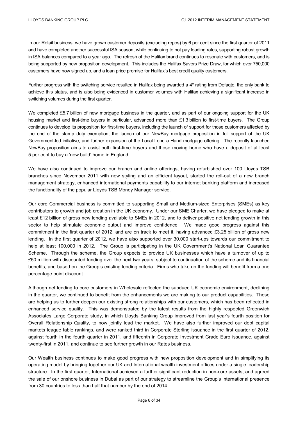In our Retail business, we have grown customer deposits (excluding repos) by 6 per cent since the first quarter of 2011 and have completed another successful ISA season, while continuing to not pay leading rates, supporting robust growth in ISA balances compared to a year ago. The refresh of the Halifax brand continues to resonate with customers, and is being supported by new proposition development. This includes the Halifax Savers Prize Draw, for which over 750,000 customers have now signed up, and a loan price promise for Halifax's best credit quality customers.

Further progress with the switching service resulted in Halifax being awarded a 4\* rating from Defaqto, the only bank to achieve this status, and is also being evidenced in customer volumes with Halifax achieving a significant increase in switching volumes during the first quarter.

We completed £5.7 billion of new mortgage business in the quarter, and as part of our ongoing support for the UK housing market and first-time buyers in particular, advanced more than £1.3 billion to first-time buyers. The Group continues to develop its proposition for first-time buyers, including the launch of support for those customers affected by the end of the stamp duty exemption, the launch of our NewBuy mortgage proposition in full support of the UK Government-led initiative, and further expansion of the Local Lend a Hand mortgage offering. The recently launched NewBuy proposition aims to assist both first-time buyers and those moving home who have a deposit of at least 5 per cent to buy a 'new build' home in England.

We have also continued to improve our branch and online offerings, having refurbished over 100 Lloyds TSB branches since November 2011 with new styling and an efficient layout, started the roll-out of a new branch management strategy, enhanced international payments capability to our internet banking platform and increased the functionality of the popular Lloyds TSB Money Manager service.

Our core Commercial business is committed to supporting Small and Medium-sized Enterprises (SMEs) as key contributors to growth and job creation in the UK economy. Under our SME Charter, we have pledged to make at least £12 billion of gross new lending available to SMEs in 2012, and to deliver positive net lending growth in this sector to help stimulate economic output and improve confidence. We made good progress against this commitment in the first quarter of 2012, and are on track to meet it, having advanced £3.25 billion of gross new lending. In the first quarter of 2012, we have also supported over 30,000 start-ups towards our commitment to help at least 100,000 in 2012. The Group is participating in the UK Government's National Loan Guarantee Scheme. Through the scheme, the Group expects to provide UK businesses which have a turnover of up to £50 million with discounted funding over the next two years, subject to continuation of the scheme and its financial benefits, and based on the Group's existing lending criteria. Firms who take up the funding will benefit from a one percentage point discount.

Although net lending to core customers in Wholesale reflected the subdued UK economic environment, declining in the quarter, we continued to benefit from the enhancements we are making to our product capabilities. These are helping us to further deepen our existing strong relationships with our customers, which has been reflected in enhanced service quality. This was demonstrated by the latest results from the highly respected Greenwich Associates Large Corporate study, in which Lloyds Banking Group improved from last year's fourth position for Overall Relationship Quality, to now jointly lead the market. We have also further improved our debt capital markets league table rankings, and were ranked third in Corporate Sterling issuance in the first quarter of 2012, against fourth in the fourth quarter in 2011, and fifteenth in Corporate Investment Grade Euro issuance, against twenty-first in 2011, and continue to see further growth in our Rates business.

Our Wealth business continues to make good progress with new proposition development and in simplifying its operating model by bringing together our UK and International wealth investment offices under a single leadership structure. In the first quarter, International achieved a further significant reduction in non-core assets, and agreed the sale of our onshore business in Dubai as part of our strategy to streamline the Group's international presence from 30 countries to less than half that number by the end of 2014.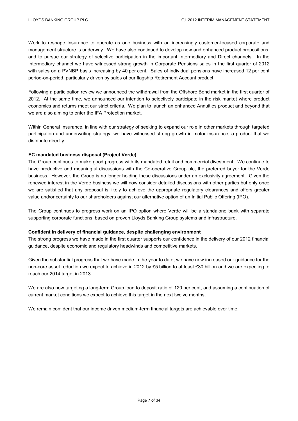Work to reshape Insurance to operate as one business with an increasingly customer-focused corporate and management structure is underway. We have also continued to develop new and enhanced product propositions, and to pursue our strategy of selective participation in the important Intermediary and Direct channels. In the Intermediary channel we have witnessed strong growth in Corporate Pensions sales in the first quarter of 2012 with sales on a PVNBP basis increasing by 40 per cent. Sales of individual pensions have increased 12 per cent period-on-period, particularly driven by sales of our flagship Retirement Account product.

Following a participation review we announced the withdrawal from the Offshore Bond market in the first quarter of 2012. At the same time, we announced our intention to selectively participate in the risk market where product economics and returns meet our strict criteria. We plan to launch an enhanced Annuities product and beyond that we are also aiming to enter the IFA Protection market.

Within General Insurance, in line with our strategy of seeking to expand our role in other markets through targeted participation and underwriting strategy, we have witnessed strong growth in motor insurance, a product that we distribute directly.

#### **EC mandated business disposal (Project Verde)**

The Group continues to make good progress with its mandated retail and commercial divestment. We continue to have productive and meaningful discussions with the Co-operative Group plc, the preferred buyer for the Verde business. However, the Group is no longer holding these discussions under an exclusivity agreement. Given the renewed interest in the Verde business we will now consider detailed discussions with other parties but only once we are satisfied that any proposal is likely to achieve the appropriate regulatory clearances and offers greater value and/or certainty to our shareholders against our alternative option of an Initial Public Offering (IPO).

The Group continues to progress work on an IPO option where Verde will be a standalone bank with separate supporting corporate functions, based on proven Lloyds Banking Group systems and infrastructure.

#### **Confident in delivery of financial guidance, despite challenging environment**

The strong progress we have made in the first quarter supports our confidence in the delivery of our 2012 financial guidance, despite economic and regulatory headwinds and competitive markets.

Given the substantial progress that we have made in the year to date, we have now increased our guidance for the non-core asset reduction we expect to achieve in 2012 by £5 billion to at least £30 billion and we are expecting to reach our 2014 target in 2013.

We are also now targeting a long-term Group loan to deposit ratio of 120 per cent, and assuming a continuation of current market conditions we expect to achieve this target in the next twelve months.

We remain confident that our income driven medium-term financial targets are achievable over time.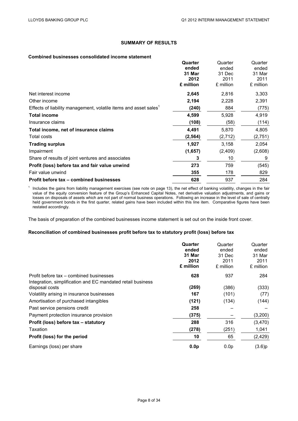## **SUMMARY OF RESULTS**

#### **Combined businesses consolidated income statement**

|                                                                              | Quarter   | Quarter   | Quarter   |
|------------------------------------------------------------------------------|-----------|-----------|-----------|
|                                                                              | ended     | ended     | ended     |
|                                                                              | 31 Mar    | 31 Dec    | 31 Mar    |
|                                                                              | 2012      | 2011      | 2011      |
|                                                                              | £ million | £ million | £ million |
| Net interest income                                                          | 2,645     | 2,816     | 3,303     |
| Other income                                                                 | 2,194     | 2,228     | 2,391     |
| Effects of liability management, volatile items and asset sales <sup>1</sup> | (240)     | 884       | (775)     |
| <b>Total income</b>                                                          | 4,599     | 5,928     | 4,919     |
| Insurance claims                                                             | (108)     | (58)      | (114)     |
| Total income, net of insurance claims                                        | 4,491     | 5,870     | 4,805     |
| Total costs                                                                  | (2, 564)  | (2,712)   | (2,751)   |
| <b>Trading surplus</b>                                                       | 1,927     | 3,158     | 2,054     |
| Impairment                                                                   | (1,657)   | (2,409)   | (2,608)   |
| Share of results of joint ventures and associates                            | 3         | 10        | 9         |
| Profit (loss) before tax and fair value unwind                               | 273       | 759       | (545)     |
| Fair value unwind                                                            | 355       | 178       | 829       |
| Profit before tax - combined businesses                                      | 628       | 937       | 284       |

<sup>1</sup> Includes the gains from liability management exercises (see note on page 13), the net effect of banking volatility, changes in the fair value of the equity conversion feature of the Group's Enhanced Capital Notes, net derivative valuation adjustments, and gains or losses on disposals of assets which are not part of normal business operations. Following an increase in the level of sale of centrally held government bonds in the first quarter, related gains have been included within this line item. Comparative figures have been restated accordingly.

The basis of preparation of the combined businesses income statement is set out on the inside front cover.

## **Reconciliation of combined businesses profit before tax to statutory profit (loss) before tax**

|                                                                               | Quarter<br>ended<br>31 Mar<br>2012<br>£ million | Quarter<br>ended<br>31 Dec<br>2011<br>£ million | Quarter<br>ended<br>31 Mar<br>2011<br>£ million |
|-------------------------------------------------------------------------------|-------------------------------------------------|-------------------------------------------------|-------------------------------------------------|
| Profit before tax – combined businesses                                       | 628                                             | 937                                             | 284                                             |
| Integration, simplification and EC mandated retail business<br>disposal costs | (269)                                           | (386)                                           | (333)                                           |
| Volatility arising in insurance businesses                                    | 167                                             | (101)                                           | (77)                                            |
| Amortisation of purchased intangibles                                         | (121)                                           | (134)                                           | (144)                                           |
| Past service pensions credit                                                  | 258                                             |                                                 |                                                 |
| Payment protection insurance provision                                        | (375)                                           |                                                 | (3,200)                                         |
| Profit (loss) before tax - statutory                                          | 288                                             | 316                                             | (3,470)                                         |
| Taxation                                                                      | (278)                                           | (251)                                           | 1,041                                           |
| Profit (loss) for the period                                                  | 10                                              | 65                                              | (2, 429)                                        |
| Earnings (loss) per share                                                     | 0.0 <sub>p</sub>                                | 0.0 <sub>p</sub>                                | (3.6)p                                          |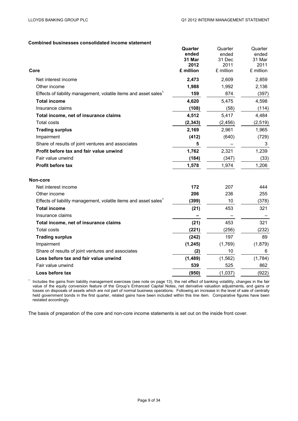#### **Combined businesses consolidated income statement**

|                                                                              | Quarter<br>ended<br>31 Mar<br>2012 | Quarter<br>ended<br>31 Dec<br>2011 | Quarter<br>ended<br>31 Mar<br>2011 |
|------------------------------------------------------------------------------|------------------------------------|------------------------------------|------------------------------------|
| Core                                                                         | £ million                          | £ million                          | £ million                          |
| Net interest income                                                          | 2,473                              | 2,609                              | 2,859                              |
| Other income                                                                 | 1,988                              | 1,992                              | 2,136                              |
| Effects of liability management, volatile items and asset sales <sup>1</sup> | 159                                | 874                                | (397)                              |
| <b>Total income</b>                                                          | 4,620                              | 5,475                              | 4,598                              |
| Insurance claims                                                             | (108)                              | (58)                               | (114)                              |
| Total income, net of insurance claims                                        | 4,512                              | 5,417                              | 4,484                              |
| <b>Total costs</b>                                                           | (2, 343)                           | (2, 456)                           | (2, 519)                           |
| <b>Trading surplus</b>                                                       | 2,169                              | 2,961                              | 1,965                              |
| Impairment                                                                   | (412)                              | (640)                              | (729)                              |
| Share of results of joint ventures and associates                            | 5                                  |                                    | 3                                  |
| Profit before tax and fair value unwind                                      | 1,762                              | 2,321                              | 1,239                              |
| Fair value unwind                                                            | (184)                              | (347)                              | (33)                               |
| Profit before tax                                                            | 1,578                              | 1,974                              | 1,206                              |
| Non-core                                                                     |                                    |                                    |                                    |
| Net interest income                                                          | 172                                | 207                                | 444                                |
| Other income                                                                 | 206                                | 236                                | 255                                |
| Effects of liability management, volatile items and asset sales <sup>1</sup> | (399)                              | 10                                 | (378)                              |
| <b>Total income</b>                                                          | (21)                               | 453                                | 321                                |
| Insurance claims                                                             |                                    |                                    |                                    |
| Total income, net of insurance claims                                        | (21)                               | 453                                | 321                                |
| <b>Total costs</b>                                                           | (221)                              | (256)                              | (232)                              |
| <b>Trading surplus</b>                                                       | (242)                              | 197                                | 89                                 |
| Impairment                                                                   | (1, 245)                           | (1,769)                            | (1,879)                            |
| Share of results of joint ventures and associates                            | (2)                                | 10                                 | 6                                  |
| Loss before tax and fair value unwind                                        | (1, 489)                           | (1, 562)                           | (1,784)                            |
| Fair value unwind                                                            | 539                                | 525                                | 862                                |
| Loss before tax                                                              | (950)                              | (1,037)                            | (922)                              |
|                                                                              |                                    |                                    |                                    |

<sup>1</sup> Includes the gains from liability management exercises (see note on page 13), the net effect of banking volatility, changes in the fair value of the equity conversion feature of the Group's Enhanced Capital Notes, net derivative valuation adjustments, and gains or losses on disposals of assets which are not part of normal business operations. Following an increase in the level of sale of centrally held government bonds in the first quarter, related gains have been included within this line item. Comparative figures have been restated accordingly.

The basis of preparation of the core and non-core income statements is set out on the inside front cover.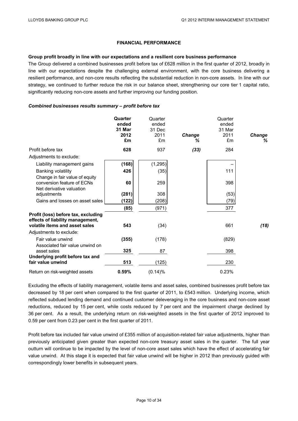# **FINANCIAL PERFORMANCE**

#### **Group profit broadly in line with our expectations and a resilient core business performance**

The Group delivered a combined businesses profit before tax of £628 million in the first quarter of 2012, broadly in line with our expectations despite the challenging external environment, with the core business delivering a resilient performance, and non-core results reflecting the substantial reduction in non-core assets. In line with our strategy, we continued to further reduce the risk in our balance sheet, strengthening our core tier 1 capital ratio, significantly reducing non-core assets and further improving our funding position.

#### *Combined businesses results summary – profit before tax*

|                                                                                                           | Quarter<br>ended<br>31 Mar<br>2012<br>£m | Quarter<br>ended<br>31 Dec<br>2011<br>£m | Change<br>℅ | Quarter<br>ended<br>31 Mar<br>2011<br>£m | <b>Change</b><br>% |
|-----------------------------------------------------------------------------------------------------------|------------------------------------------|------------------------------------------|-------------|------------------------------------------|--------------------|
| Profit before tax                                                                                         | 628                                      | 937                                      | (33)        | 284                                      |                    |
| Adjustments to exclude:                                                                                   |                                          |                                          |             |                                          |                    |
| Liability management gains                                                                                | (168)                                    | (1, 295)                                 |             |                                          |                    |
| <b>Banking volatility</b>                                                                                 | 426                                      | (35)                                     |             | 111                                      |                    |
| Change in fair value of equity<br>conversion feature of ECNs<br>Net derivative valuation                  | 60                                       | 259                                      |             | 398                                      |                    |
| adjustments                                                                                               | (281)                                    | 308                                      |             | (53)                                     |                    |
| Gains and losses on asset sales                                                                           | (122)                                    | (208)                                    |             | (79)                                     |                    |
|                                                                                                           | (85)                                     | (971)                                    |             | 377                                      |                    |
| Profit (loss) before tax, excluding<br>effects of liability management,<br>volatile items and asset sales | 543                                      | (34)                                     |             | 661                                      | (18)               |
| Adjustments to exclude:                                                                                   |                                          |                                          |             |                                          |                    |
| Fair value unwind                                                                                         | (355)                                    | (178)                                    |             | (829)                                    |                    |
| Associated fair value unwind on<br>asset sales                                                            | 325                                      | 87                                       |             | 398                                      |                    |
| Underlying profit before tax and<br>fair value unwind                                                     | 513                                      | (125)                                    |             | 230                                      |                    |
| Return on risk-weighted assets                                                                            | 0.59%                                    | (0.14)%                                  |             | 0.23%                                    |                    |

Excluding the effects of liability management, volatile items and asset sales, combined businesses profit before tax decreased by 18 per cent when compared to the first quarter of 2011, to £543 million. Underlying income, which reflected subdued lending demand and continued customer deleveraging in the core business and non-core asset reductions, reduced by 15 per cent, while costs reduced by 7 per cent and the impairment charge declined by 36 per cent. As a result, the underlying return on risk-weighted assets in the first quarter of 2012 improved to 0.59 per cent from 0.23 per cent in the first quarter of 2011.

Profit before tax included fair value unwind of £355 million of acquisition-related fair value adjustments, higher than previously anticipated given greater than expected non-core treasury asset sales in the quarter. The full year outturn will continue to be impacted by the level of non-core asset sales which have the effect of accelerating fair value unwind. At this stage it is expected that fair value unwind will be higher in 2012 than previously guided with correspondingly lower benefits in subsequent years.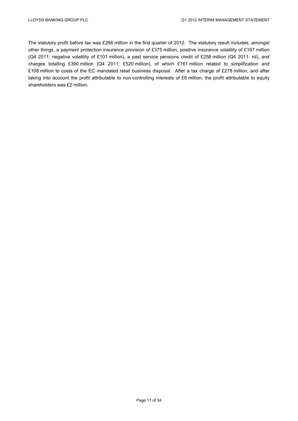The statutory profit before tax was £288 million in the first quarter of 2012. The statutory result includes, amongst other things, a payment protection insurance provision of £375 million, positive insurance volatility of £167 million (Q4 2011: negative volatility of £101 million), a past service pensions credit of £258 million (Q4 2011: nil), and charges totalling £390 million (Q4 2011: £520 million), of which £161 million related to simplification and £108 million to costs of the EC mandated retail business disposal. After a tax charge of £278 million, and after taking into account the profit attributable to non-controlling interests of £8 million, the profit attributable to equity shareholders was £2 million.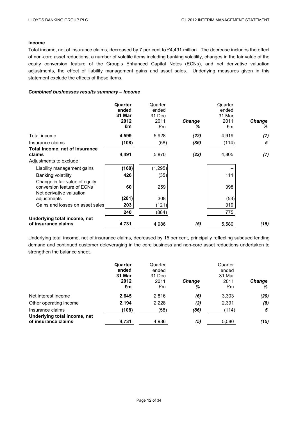# **Income**

Total income, net of insurance claims, decreased by 7 per cent to £4,491 million. The decrease includes the effect of non-core asset reductions, a number of volatile items including banking volatility, changes in the fair value of the equity conversion feature of the Group's Enhanced Capital Notes (ECNs), and net derivative valuation adjustments, the effect of liability management gains and asset sales. Underlying measures given in this statement exclude the effects of these items.

#### *Combined businesses results summary – income*

|                                                                                          | Quarter<br>ended<br>31 Mar<br>2012<br>£m | Quarter<br>ended<br>31 Dec<br>2011<br>£m | <b>Change</b><br>℅ | Quarter<br>ended<br>31 Mar<br>2011<br>£m | <b>Change</b><br>% |
|------------------------------------------------------------------------------------------|------------------------------------------|------------------------------------------|--------------------|------------------------------------------|--------------------|
| Total income                                                                             | 4,599                                    | 5,928                                    | (22)               | 4,919                                    | (7)                |
| Insurance claims                                                                         | (108)                                    | (58)                                     | (86)               | (114)                                    | 5                  |
| Total income, net of insurance<br>claims<br>Adjustments to exclude:                      | 4,491                                    | 5,870                                    | (23)               | 4,805                                    | (7)                |
| Liability management gains                                                               | (168)                                    | (1, 295)                                 |                    |                                          |                    |
| Banking volatility                                                                       | 426                                      | (35)                                     |                    | 111                                      |                    |
| Change in fair value of equity<br>conversion feature of ECNs<br>Net derivative valuation | 60                                       | 259                                      |                    | 398                                      |                    |
| adjustments                                                                              | (281)                                    | 308                                      |                    | (53)                                     |                    |
| Gains and losses on asset sales                                                          | 203                                      | (121)                                    |                    | 319                                      |                    |
|                                                                                          | 240                                      | (884)                                    |                    | 775                                      |                    |
| Underlying total income, net<br>of insurance claims                                      | 4,731                                    | 4,986                                    | (5)                | 5,580                                    | (15)               |

Underlying total income, net of insurance claims, decreased by 15 per cent, principally reflecting subdued lending demand and continued customer deleveraging in the core business and non-core asset reductions undertaken to strengthen the balance sheet.

|                                                     | Quarter         | Quarter         |                    | Quarter         |                    |
|-----------------------------------------------------|-----------------|-----------------|--------------------|-----------------|--------------------|
|                                                     | ended<br>31 Mar | ended<br>31 Dec |                    | ended<br>31 Mar |                    |
|                                                     | 2012<br>£m      | 2011<br>£m      | <b>Change</b><br>% | 2011<br>£m      | <b>Change</b><br>% |
| Net interest income                                 | 2,645           | 2,816           | (6)                | 3,303           | (20)               |
| Other operating income                              | 2,194           | 2,228           | (2)                | 2,391           | (8)                |
| Insurance claims                                    | (108)           | (58)            | (86)               | (114)           | 5                  |
| Underlying total income, net<br>of insurance claims | 4,731           | 4,986           | (5)                | 5,580           | (15)               |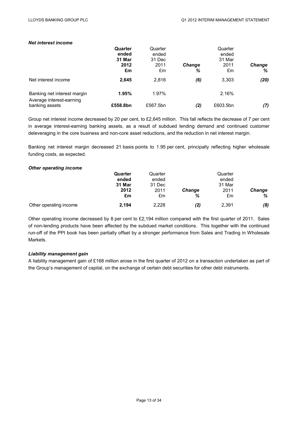#### *Net interest income*

|                                                         | Quarter<br>ended<br>31 Mar<br>2012<br>£m | Quarter<br>ended<br>31 Dec<br>2011<br>£m | <b>Change</b><br>% | Quarter<br>ended<br>31 Mar<br>2011<br>£m | <b>Change</b><br>℅ |
|---------------------------------------------------------|------------------------------------------|------------------------------------------|--------------------|------------------------------------------|--------------------|
| Net interest income                                     | 2,645                                    | 2.816                                    | (6)                | 3,303                                    | (20)               |
| Banking net interest margin<br>Average interest-earning | 1.95%                                    | 1.97%                                    |                    | 2.16%                                    |                    |
| banking assets                                          | £558.8bn                                 | £567.5bn                                 | (2)                | £603.5bn                                 | (7)                |

Group net interest income decreased by 20 per cent, to £2,645 million. This fall reflects the decrease of 7 per cent in average interest-earning banking assets, as a result of subdued lending demand and continued customer deleveraging in the core business and non-core asset reductions, and the reduction in net interest margin.

Banking net interest margin decreased 21 basis points to 1.95 per cent, principally reflecting higher wholesale funding costs, as expected.

| Quarter<br>ended | Quarter<br>ended |                   | Quarter<br>ended |               |
|------------------|------------------|-------------------|------------------|---------------|
| 31 Mar           | 31 Dec           |                   | 31 Mar           |               |
| 2012             | 2011             | <b>Change</b>     | 2011             | <b>Change</b> |
| £m               | £m               | %                 | £m               | %             |
| 2,194            | 2.228            | $\left( 2\right)$ | 2,391            | (8)           |
|                  |                  |                   |                  |               |

Other operating income decreased by 8 per cent to £2,194 million compared with the first quarter of 2011. Sales of non-lending products have been affected by the subdued market conditions. This together with the continued run-off of the PPI book has been partially offset by a stronger performance from Sales and Trading in Wholesale Markets.

# *Liability management gain*

*Other operating income*

A liability management gain of £168 million arose in the first quarter of 2012 on a transaction undertaken as part of the Group's management of capital, on the exchange of certain debt securities for other debt instruments.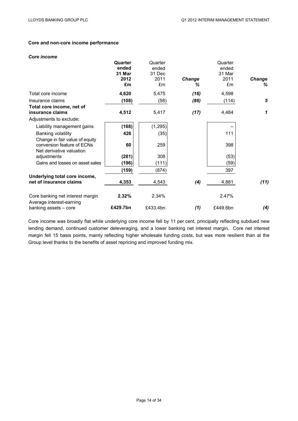#### **Core and non-core income performance**

#### *Core income*

|                                  | Quarter  | Quarter  |        | Quarter  |               |
|----------------------------------|----------|----------|--------|----------|---------------|
|                                  | ended    | ended    |        | ended    |               |
|                                  | 31 Mar   | 31 Dec   |        | 31 Mar   |               |
|                                  | 2012     | 2011     | Change | 2011     | <b>Change</b> |
|                                  | £m       | £m       | ℅      | £m       | %             |
| Total core income                | 4,620    | 5,475    | (16)   | 4,598    |               |
| Insurance claims                 | (108)    | (58)     | (86)   | (114)    | 5             |
| Total core income, net of        |          |          |        |          |               |
| insurance claims                 | 4,512    | 5,417    | (17)   | 4,484    | 1             |
| Adjustments to exclude:          |          |          |        |          |               |
| Liability management gains       | (168)    | (1, 295) |        |          |               |
| Banking volatility               | 426      | (35)     |        | 111      |               |
| Change in fair value of equity   |          |          |        |          |               |
| conversion feature of ECNs       | 60       | 259      |        | 398      |               |
| Net derivative valuation         |          |          |        |          |               |
| adjustments                      | (281)    | 308      |        | (53)     |               |
| Gains and losses on asset sales  | (196)    | (111)    |        | (59)     |               |
|                                  | (159)    | (874)    |        | 397      |               |
| Underlying total core income,    |          |          |        |          |               |
| net of insurance claims          | 4,353    | 4,543    | (4)    | 4,881    | (11)          |
| Core banking net interest margin | 2.32%    | 2.34%    |        | 2.47%    |               |
| Average interest-earning         |          |          |        |          |               |
| banking assets - core            | £429.7bn | £433.4bn | (1)    | £449.6bn | (4)           |

Core income was broadly flat while underlying core income fell by 11 per cent, principally reflecting subdued new lending demand, continued customer deleveraging, and a lower banking net interest margin. Core net interest margin fell 15 basis points, mainly reflecting higher wholesale funding costs, but was more resilient than at the Group level thanks to the benefits of asset repricing and improved funding mix.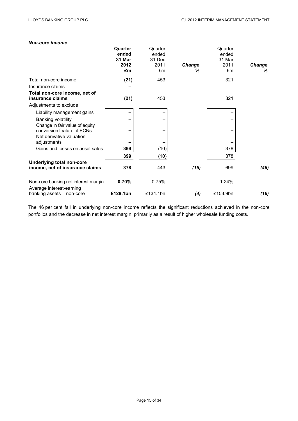#### *Non-core income*

| Quarter<br>ended<br>31 Mar<br>2012<br>£m | Quarter<br>ended<br>31 Dec<br>2011<br>£m | <b>Change</b><br>℅ | Quarter<br>ended<br>31 Mar<br>2011<br>£m | <b>Change</b><br>℅ |
|------------------------------------------|------------------------------------------|--------------------|------------------------------------------|--------------------|
| (21)                                     | 453                                      |                    | 321                                      |                    |
|                                          |                                          |                    |                                          |                    |
| (21)                                     | 453                                      |                    | 321                                      |                    |
|                                          |                                          |                    |                                          |                    |
|                                          |                                          |                    |                                          |                    |
|                                          |                                          |                    |                                          |                    |
|                                          |                                          |                    |                                          |                    |
|                                          |                                          |                    |                                          |                    |
| 399                                      |                                          |                    | 378                                      |                    |
| 399                                      | (10)                                     |                    | 378                                      |                    |
| 378                                      | 443                                      | (15)               | 699                                      | (46)               |
| 0.70%                                    | 0.75%                                    |                    | 1.24%                                    |                    |
| £129.1bn                                 | £134.1bn                                 | (4)                | £153.9bn                                 | (16)               |
|                                          |                                          | (10)               |                                          |                    |

The 46 per cent fall in underlying non-core income reflects the significant reductions achieved in the non-core portfolios and the decrease in net interest margin, primarily as a result of higher wholesale funding costs.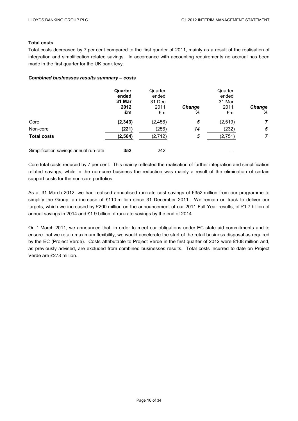## **Total costs**

Total costs decreased by 7 per cent compared to the first quarter of 2011, mainly as a result of the realisation of integration and simplification related savings. In accordance with accounting requirements no accrual has been made in the first quarter for the UK bank levy.

## *Combined businesses results summary – costs*

|                                        | Quarter<br>ended<br>31 Mar<br>2012<br>£m | Quarter<br>ended<br>31 Dec<br>2011<br>£m | <b>Change</b><br>% | Quarter<br>ended<br>31 Mar<br>2011<br>£m | <b>Change</b><br>% |
|----------------------------------------|------------------------------------------|------------------------------------------|--------------------|------------------------------------------|--------------------|
| Core                                   | (2, 343)                                 | (2, 456)                                 | 5                  | (2,519)                                  | 7                  |
| Non-core                               | (221)                                    | (256)                                    | 14                 | (232)                                    | $\sqrt{5}$         |
| <b>Total costs</b>                     | (2, 564)                                 | (2,712)                                  | 5                  | (2,751)                                  | $\overline{7}$     |
| Simplification savings annual run-rate | 352                                      | 242                                      |                    |                                          |                    |

Core total costs reduced by 7 per cent. This mainly reflected the realisation of further integration and simplification related savings, while in the non-core business the reduction was mainly a result of the elimination of certain support costs for the non-core portfolios.

As at 31 March 2012, we had realised annualised run-rate cost savings of £352 million from our programme to simplify the Group, an increase of £110 million since 31 December 2011. We remain on track to deliver our targets, which we increased by £200 million on the announcement of our 2011 Full Year results, of £1.7 billion of annual savings in 2014 and £1.9 billion of run-rate savings by the end of 2014.

On 1 March 2011, we announced that, in order to meet our obligations under EC state aid commitments and to ensure that we retain maximum flexibility, we would accelerate the start of the retail business disposal as required by the EC (Project Verde). Costs attributable to Project Verde in the first quarter of 2012 were £108 million and, as previously advised, are excluded from combined businesses results. Total costs incurred to date on Project Verde are £278 million.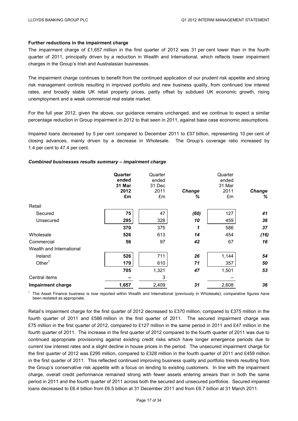## **Further reductions in the impairment charge**

The impairment charge of £1,657 million in the first quarter of 2012 was 31 per cent lower than in the fourth quarter of 2011, principally driven by a reduction in Wealth and International, which reflects lower impairment charges in the Group's Irish and Australasian businesses.

The impairment charge continues to benefit from the continued application of our prudent risk appetite and strong risk management controls resulting in improved portfolio and new business quality, from continued low interest rates, and broadly stable UK retail property prices, partly offset by subdued UK economic growth, rising unemployment and a weak commercial real estate market.

For the full year 2012, given the above, our guidance remains unchanged, and we continue to expect a similar percentage reduction in Group impairment in 2012 to that seen in 2011, against base case economic assumptions.

Impaired loans decreased by 5 per cent compared to December 2011 to £57 billion, representing 10 per cent of closing advances, mainly driven by a decrease in Wholesale. The Group's coverage ratio increased by 1.4 per cent to 47.4 per cent.

|                          | Quarter<br>ended<br>31 Mar<br>2012<br>£m | Quarter<br>ended<br>31 Dec<br>2011<br>£m | Change<br>℅ | Quarter<br>ended<br>31 Mar<br>2011<br>£m | Change<br>% |
|--------------------------|------------------------------------------|------------------------------------------|-------------|------------------------------------------|-------------|
| Retail                   |                                          |                                          |             |                                          |             |
| Secured                  | 75                                       | 47                                       | (60)        | 127                                      | 41          |
| Unsecured                | 295                                      | 328                                      | 10          | 459                                      | 36          |
|                          | 370                                      | 375                                      | 1           | 586                                      | 37          |
| Wholesale                | 526                                      | 613                                      | 14          | 454                                      | (16)        |
| Commercial               | 56                                       | 97                                       | 42          | 67                                       | 16          |
| Wealth and International |                                          |                                          |             |                                          |             |
| Ireland                  | 526                                      | 711                                      | 26          | 1,144                                    | 54          |
| Other $1$                | 179                                      | 610                                      | 71          | 357                                      | 50          |
|                          | 705                                      | 1,321                                    | 47          | 1,501                                    | 53          |
| Central items            |                                          | 3                                        |             |                                          |             |
| <b>Impairment charge</b> | 1,657                                    | 2,409                                    | 31          | 2,608                                    | 36          |
|                          |                                          |                                          |             |                                          |             |

#### *Combined businesses results summary – impairment charge*

 $1$  The Asset Finance business is now reported within Wealth and International (previously in Wholesale); comparative figures have been restated as appropriate.

Retail's impairment charge for the first quarter of 2012 decreased to £370 million, compared to £375 million in the fourth quarter of 2011 and £586 million in the first quarter of 2011. The secured impairment charge was £75 million in the first quarter of 2012, compared to £127 million in the same period in 2011 and £47 million in the fourth quarter of 2011. The increase in the first quarter of 2012 compared to the fourth quarter of 2011 was due to continued appropriate provisioning against existing credit risks which have longer emergence periods due to current low interest rates and a slight decline in house prices in the period. The unsecured impairment charge for the first quarter of 2012 was £295 million, compared to £328 million in the fourth quarter of 2011 and £459 million in the first quarter of 2011. This reflected continued improving business quality and portfolio trends resulting from the Group's conservative risk appetite with a focus on lending to existing customers. In line with the impairment charge, overall credit performance remained strong with fewer assets entering arrears than in both the same period in 2011 and the fourth quarter of 2011 across both the secured and unsecured portfolios. Secured impaired loans decreased to £6.4 billion from £6.5 billion at 31 December 2011 and from £6.7 billion at 31 March 2011.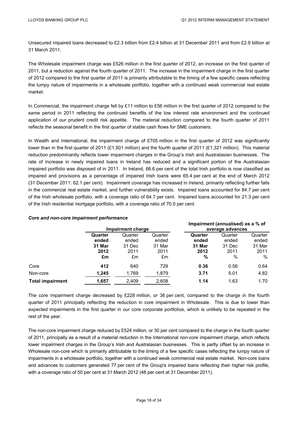**Impairment (annualised) as a % of** 

Unsecured impaired loans decreased to £2.3 billion from £2.4 billion at 31 December 2011 and from £2.9 billion at 31 March 2011.

The Wholesale impairment charge was £526 million in the first quarter of 2012, an increase on the first quarter of 2011, but a reduction against the fourth quarter of 2011. The increase in the impairment charge in the first quarter of 2012 compared to the first quarter of 2011 is primarily attributable to the timing of a few specific cases reflecting the lumpy nature of impairments in a wholesale portfolio, together with a continued weak commercial real estate market.

In Commercial, the impairment charge fell by £11 million to £56 million in the first quarter of 2012 compared to the same period in 2011 reflecting the continued benefits of the low interest rate environment and the continued application of our prudent credit risk appetite. The material reduction compared to the fourth quarter of 2011 reflects the seasonal benefit in the first quarter of stable cash flows for SME customers.

In Wealth and International, the impairment charge of £705 million in the first quarter of 2012 was significantly lower than in the first quarter of 2011 (£1,501 million) and the fourth quarter of 2011 (£1,321 million). This material reduction predominantly reflects lower impairment charges in the Group's Irish and Australasian businesses. The rate of increase in newly impaired loans in Ireland has reduced and a significant portion of the Australasian impaired portfolio was disposed of in 2011. In Ireland, 66.6 per cent of the total Irish portfolio is now classified as impaired and provisions as a percentage of impaired Irish loans were 65.4 per cent at the end of March 2012 (31 December 2011: 62.1 per cent). Impairment coverage has increased in Ireland, primarily reflecting further falls in the commercial real estate market, and further vulnerability exists. Impaired loans accounted for 84.7 per cent of the Irish wholesale portfolio, with a coverage ratio of 64.7 per cent. Impaired loans accounted for 21.3 per cent of the Irish residential mortgage portfolio, with a coverage ratio of 70.0 per cent.

|                         |                            | Impairment charge          |                            |                            | average advances           |                            |  |
|-------------------------|----------------------------|----------------------------|----------------------------|----------------------------|----------------------------|----------------------------|--|
|                         | Quarter<br>ended<br>31 Mar | Quarter<br>ended<br>31 Dec | Quarter<br>ended<br>31 Mar | Quarter<br>ended<br>31 Mar | Quarter<br>ended<br>31 Dec | Quarter<br>ended<br>31 Mar |  |
|                         | 2012<br>£m                 | 2011<br>£m                 | 2011<br>£m                 | 2012<br>%                  | 2011<br>%                  | 2011<br>%                  |  |
| Core                    | 412                        | 640                        | 729                        | 0.36                       | 0.56                       | 0.64                       |  |
| Non-core                | 1,245                      | 1,769                      | 1,879                      | 3.71                       | 5.01                       | 4.82                       |  |
| <b>Total impairment</b> | 1,657                      | 2,409                      | 2,608                      | 1.14                       | 1.63                       | 1.70                       |  |

#### *Core and non-core impairment performance*

The core impairment charge decreased by £228 million, or 36 per cent, compared to the charge in the fourth quarter of 2011 principally reflecting the reduction in core impairment in Wholesale. This is due to lower than expected impairments in the first quarter in our core corporate portfolios, which is unlikely to be repeated in the rest of the year.

The non-core impairment charge reduced by £524 million, or 30 per cent compared to the charge in the fourth quarter of 2011, principally as a result of a material reduction in the International non-core impairment charge, which reflects lower impairment charges in the Group's Irish and Australasian businesses. This is partly offset by an increase in Wholesale non-core which is primarily attributable to the timing of a few specific cases reflecting the lumpy nature of impairments in a wholesale portfolio, together with a continued weak commercial real estate market. Non-core loans and advances to customers generated 77 per cent of the Group's impaired loans reflecting their higher risk profile, with a coverage ratio of 50 per cent at 31 March 2012 (48 per cent at 31 December 2011).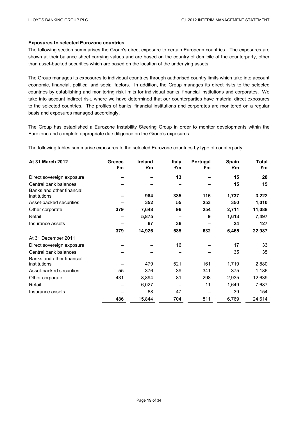## **Exposures to selected Eurozone countries**

The following section summarises the Group's direct exposure to certain European countries. The exposures are shown at their balance sheet carrying values and are based on the country of domicile of the counterparty, other than asset-backed securities which are based on the location of the underlying assets.

The Group manages its exposures to individual countries through authorised country limits which take into account economic, financial, political and social factors. In addition, the Group manages its direct risks to the selected countries by establishing and monitoring risk limits for individual banks, financial institutions and corporates. We take into account indirect risk, where we have determined that our counterparties have material direct exposures to the selected countries. The profiles of banks, financial institutions and corporates are monitored on a regular basis and exposures managed accordingly**.**

The Group has established a Eurozone Instability Steering Group in order to monitor developments within the Eurozone and complete appropriate due diligence on the Group's exposures.

The following tables summarise exposures to the selected Eurozone countries by type of counterparty:

| At 31 March 2012          | Greece<br>£m | Ireland<br>£m | <b>Italy</b><br>£m | Portugal<br>£m | Spain<br>£m | <b>Total</b><br>£m |
|---------------------------|--------------|---------------|--------------------|----------------|-------------|--------------------|
| Direct sovereign exposure |              |               | 13                 |                | 15          | 28                 |
| Central bank balances     |              |               |                    |                | 15          | 15                 |
| Banks and other financial |              |               |                    |                |             |                    |
| institutions              |              | 984           | 385                | 116            | 1,737       | 3,222              |
| Asset-backed securities   |              | 352           | 55                 | 253            | 350         | 1,010              |
| Other corporate           | 379          | 7,648         | 96                 | 254            | 2,711       | 11,088             |
| Retail                    |              | 5,875         |                    | 9              | 1,613       | 7,497              |
| Insurance assets          |              | 67            | 36                 |                | 24          | 127                |
|                           | 379          | 14,926        | 585                | 632            | 6,465       | 22,987             |
| At 31 December 2011       |              |               |                    |                |             |                    |
| Direct sovereign exposure |              |               | 16                 |                | 17          | 33                 |
| Central bank balances     |              |               |                    |                | 35          | 35                 |
| Banks and other financial |              |               |                    |                |             |                    |
| institutions              |              | 479           | 521                | 161            | 1,719       | 2,880              |
| Asset-backed securities   | 55           | 376           | 39                 | 341            | 375         | 1,186              |
| Other corporate           | 431          | 8,894         | 81                 | 298            | 2,935       | 12,639             |
| Retail                    |              | 6,027         |                    | 11             | 1,649       | 7,687              |
| Insurance assets          |              | 68            | 47                 |                | 39          | 154                |
|                           | 486          | 15,844        | 704                | 811            | 6,769       | 24,614             |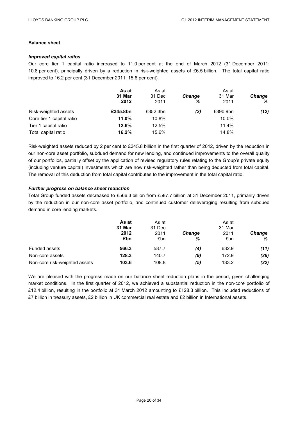## **Balance sheet**

#### *Improved capital ratios*

Our core tier 1 capital ratio increased to 11.0 per cent at the end of March 2012 (31 December 2011: 10.8 per cent), principally driven by a reduction in risk-weighted assets of £6.5 billion. The total capital ratio improved to 16.2 per cent (31 December 2011: 15.6 per cent).

|                           | As at<br>31 Mar<br>2012 | As at<br>31 Dec<br>2011 | <b>Change</b><br>℅ | As at<br>31 Mar<br>2011 | <b>Change</b><br>℅ |
|---------------------------|-------------------------|-------------------------|--------------------|-------------------------|--------------------|
| Risk-weighted assets      | £345.8bn                | £352.3bn                | (2)                | £390.9bn                | (12)               |
| Core tier 1 capital ratio | 11.0%                   | 10.8%                   |                    | 10.0%                   |                    |
| Tier 1 capital ratio      | 12.6%                   | 12.5%                   |                    | 11.4%                   |                    |
| Total capital ratio       | 16.2%                   | 15.6%                   |                    | 14.8%                   |                    |

Risk-weighted assets reduced by 2 per cent to £345.8 billion in the first quarter of 2012, driven by the reduction in our non-core asset portfolio, subdued demand for new lending, and continued improvements to the overall quality of our portfolios, partially offset by the application of revised regulatory rules relating to the Group's private equity (including venture capital) investments which are now risk-weighted rather than being deducted from total capital. The removal of this deduction from total capital contributes to the improvement in the total capital ratio.

## *Further progress on balance sheet reduction*

Total Group funded assets decreased to £566.3 billion from £587.7 billion at 31 December 2011, primarily driven by the reduction in our non-core asset portfolio, and continued customer deleveraging resulting from subdued demand in core lending markets.

|                               | As at<br>31 Mar<br>2012<br>£bn | As at<br>31 Dec<br>2011<br>£bn | <b>Change</b><br>% | As at<br>31 Mar<br>2011<br>£bn | <b>Change</b><br>% |
|-------------------------------|--------------------------------|--------------------------------|--------------------|--------------------------------|--------------------|
| Funded assets                 | 566.3                          | 587.7                          | (4)                | 632.9                          | (11)               |
| Non-core assets               | 128.3                          | 140.7                          | (9)                | 172.9                          | (26)               |
| Non-core risk-weighted assets | 103.6                          | 108.8                          | (5)                | 133.2                          | (22)               |

We are pleased with the progress made on our balance sheet reduction plans in the period, given challenging market conditions. In the first quarter of 2012, we achieved a substantial reduction in the non-core portfolio of £12.4 billion, resulting in the portfolio at 31 March 2012 amounting to £128.3 billion. This included reductions of £7 billion in treasury assets, £2 billion in UK commercial real estate and £2 billion in International assets.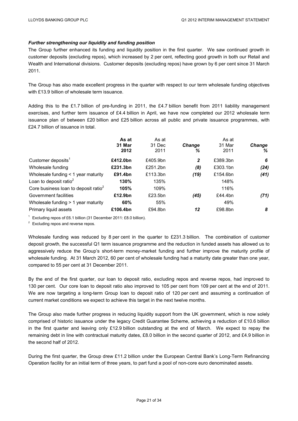# *Further strengthening our liquidity and funding position*

The Group further enhanced its funding and liquidity position in the first quarter. We saw continued growth in customer deposits (excluding repos), which increased by 2 per cent, reflecting good growth in both our Retail and Wealth and International divisions. Customer deposits (excluding repos) have grown by 6 per cent since 31 March 2011.

The Group has also made excellent progress in the quarter with respect to our term wholesale funding objectives with £13.9 billion of wholesale term issuance.

Adding this to the £1.7 billion of pre-funding in 2011, the £4.7 billion benefit from 2011 liability management exercises, and further term issuance of £4.4 billion in April, we have now completed our 2012 wholesale term issuance plan of between £20 billion and £25 billion across all public and private issuance programmes, with £24.7 billion of issuance in total.

|                                                  | As at<br>31 Mar<br>2012 | As at<br>31 Dec<br>2011 | <b>Change</b><br>% | As at<br>31 Mar<br>2011 | <b>Change</b><br>% |
|--------------------------------------------------|-------------------------|-------------------------|--------------------|-------------------------|--------------------|
| Customer deposits <sup>1</sup>                   | £412.0bn                | £405.9bn                | 2                  | £389.3bn                | 6                  |
| Wholesale funding                                | £231.3bn                | £251.2bn                | (8)                | £303.1bn                | (24)               |
| Wholesale funding < 1 year maturity              | £91.4bn                 | £113.3bn                | (19)               | £154.6bn                | (41)               |
| Loan to deposit ratio $2$                        | 130%                    | 135%                    |                    | 148%                    |                    |
| Core business loan to deposit ratio <sup>2</sup> | 105%                    | 109%                    |                    | 116%                    |                    |
| Government facilities                            | £12.9bn                 | £23.5bn                 | (45)               | £44.4 $bn$              | (71)               |
| Wholesale funding > 1 year maturity              | 60%                     | 55%                     |                    | 49%                     |                    |
| Primary liquid assets                            | £106.4bn                | £94.8bn                 | 12                 | £98.8bn                 | 8                  |

<sup>1</sup> Excluding repos of £6.1 billion (31 December 2011: £8.0 billion).

<sup>2</sup> Excluding repos and reverse repos.

Wholesale funding was reduced by 8 per cent in the quarter to £231.3 billion. The combination of customer deposit growth, the successful Q1 term issuance programme and the reduction in funded assets has allowed us to aggressively reduce the Group's short-term money-market funding and further improve the maturity profile of wholesale funding. At 31 March 2012, 60 per cent of wholesale funding had a maturity date greater than one year, compared to 55 per cent at 31 December 2011.

By the end of the first quarter, our loan to deposit ratio, excluding repos and reverse repos, had improved to 130 per cent. Our core loan to deposit ratio also improved to 105 per cent from 109 per cent at the end of 2011. We are now targeting a long-term Group loan to deposit ratio of 120 per cent and assuming a continuation of current market conditions we expect to achieve this target in the next twelve months.

The Group also made further progress in reducing liquidity support from the UK government, which is now solely comprised of historic issuance under the legacy Credit Guarantee Scheme, achieving a reduction of £10.6 billion in the first quarter and leaving only £12.9 billion outstanding at the end of March. We expect to repay the remaining debt in line with contractual maturity dates, £8.0 billion in the second quarter of 2012, and £4.9 billion in the second half of 2012.

During the first quarter, the Group drew £11.2 billion under the European Central Bank's Long-Term Refinancing Operation facility for an initial term of three years, to part fund a pool of non-core euro denominated assets.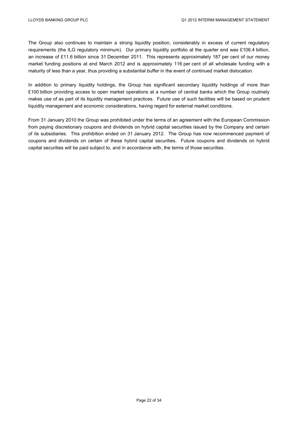The Group also continues to maintain a strong liquidity position, considerably in excess of current regulatory requirements (the ILG regulatory minimum). Our primary liquidity portfolio at the quarter end was £106.4 billion, an increase of £11.6 billion since 31 December 2011. This represents approximately 187 per cent of our money market funding positions at end March 2012 and is approximately 116 per cent of all wholesale funding with a maturity of less than a year, thus providing a substantial buffer in the event of continued market dislocation.

In addition to primary liquidity holdings, the Group has significant secondary liquidity holdings of more than £100 billion providing access to open market operations at a number of central banks which the Group routinely makes use of as part of its liquidity management practices. Future use of such facilities will be based on prudent liquidity management and economic considerations, having regard for external market conditions.

From 31 January 2010 the Group was prohibited under the terms of an agreement with the European Commission from paying discretionary coupons and dividends on hybrid capital securities issued by the Company and certain of its subsidiaries. This prohibition ended on 31 January 2012. The Group has now recommenced payment of coupons and dividends on certain of these hybrid capital securities. Future coupons and dividends on hybrid capital securities will be paid subject to, and in accordance with, the terms of those securities.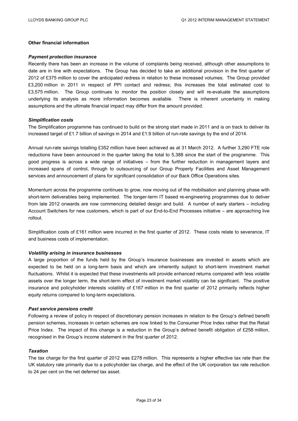#### **Other financial information**

#### *Payment protection insurance*

Recently there has been an increase in the volume of complaints being received, although other assumptions to date are in line with expectations. The Group has decided to take an additional provision in the first quarter of 2012 of £375 million to cover the anticipated redress in relation to these increased volumes. The Group provided £3,200 million in 2011 in respect of PPI contact and redress; this increases the total estimated cost to £3,575 million. The Group continues to monitor the position closely and will re-evaluate the assumptions underlying its analysis as more information becomes available. There is inherent uncertainty in making assumptions and the ultimate financial impact may differ from the amount provided.

#### *Simplification costs*

The Simplification programme has continued to build on the strong start made in 2011 and is on track to deliver its increased target of £1.7 billion of savings in 2014 and £1.9 billion of run-rate savings by the end of 2014.

Annual run-rate savings totalling £352 million have been achieved as at 31 March 2012. A further 3,290 FTE role reductions have been announced in the quarter taking the total to 5,388 since the start of the programme. This good progress is across a wide range of initiatives – from the further reduction in management layers and increased spans of control, through to outsourcing of our Group Property Facilities and Asset Management services and announcement of plans for significant consolidation of our Back Office Operations sites.

Momentum across the programme continues to grow, now moving out of the mobilisation and planning phase with short-term deliverables being implemented. The longer-term IT based re-engineering programmes due to deliver from late 2012 onwards are now commencing detailed design and build. A number of early starters – including Account Switchers for new customers, which is part of our End-to-End Processes initiative – are approaching live rollout.

Simplification costs of £161 million were incurred in the first quarter of 2012. These costs relate to severance, IT and business costs of implementation.

#### *Volatility arising in insurance businesses*

A large proportion of the funds held by the Group's insurance businesses are invested in assets which are expected to be held on a long-term basis and which are inherently subject to short-term investment market fluctuations. Whilst it is expected that these investments will provide enhanced returns compared with less volatile assets over the longer term, the short-term effect of investment market volatility can be significant. The positive insurance and policyholder interests volatility of £167 million in the first quarter of 2012 primarily reflects higher equity returns compared to long-term expectations.

#### *Past service pensions credit*

Following a review of policy in respect of discretionary pension increases in relation to the Group's defined benefit pension schemes, increases in certain schemes are now linked to the Consumer Price Index rather that the Retail Price Index. The impact of this change is a reduction in the Group's defined benefit obligation of £258 million, recognised in the Group's income statement in the first quarter of 2012.

#### *Taxation*

The tax charge for the first quarter of 2012 was £278 million. This represents a higher effective tax rate than the UK statutory rate primarily due to a policyholder tax charge, and the effect of the UK corporation tax rate reduction to 24 per cent on the net deferred tax asset.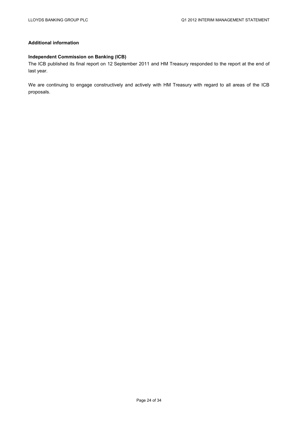# **Additional information**

# **Independent Commission on Banking (ICB)**

The ICB published its final report on 12 September 2011 and HM Treasury responded to the report at the end of last year.

We are continuing to engage constructively and actively with HM Treasury with regard to all areas of the ICB proposals.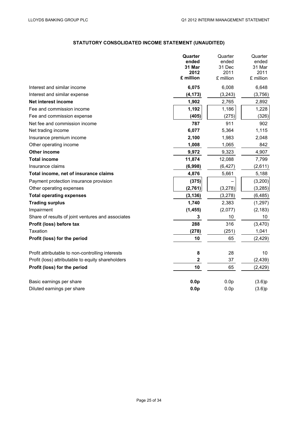# **STATUTORY CONSOLIDATED INCOME STATEMENT (UNAUDITED)**

|                                                   | Quarter           | Quarter           | Quarter           |
|---------------------------------------------------|-------------------|-------------------|-------------------|
|                                                   | ended             | ended             | ended             |
|                                                   | 31 Mar            | 31 Dec            | 31 Mar            |
|                                                   | 2012<br>£ million | 2011<br>£ million | 2011<br>£ million |
| Interest and similar income                       | 6,075             | 6,008             | 6,648             |
| Interest and similar expense                      | (4, 173)          | (3, 243)          | (3,756)           |
| <b>Net interest income</b>                        | 1,902             | 2,765             | 2,892             |
| Fee and commission income                         | 1,192             | 1,186             | 1,228             |
| Fee and commission expense                        | (405)             | (275)             | (326)             |
| Net fee and commission income                     | 787               | 911               | 902               |
| Net trading income                                | 6,077             | 5,364             | 1,115             |
| Insurance premium income                          | 2,100             | 1,983             | 2,048             |
| Other operating income                            | 1,008             | 1,065             | 842               |
| <b>Other income</b>                               | 9,972             | 9,323             | 4,907             |
| <b>Total income</b>                               | 11,874            | 12,088            | 7,799             |
| Insurance claims                                  | (6,998)           | (6, 427)          | (2,611)           |
| Total income, net of insurance claims             | 4,876             | 5,661             | 5,188             |
| Payment protection insurance provision            | (375)             |                   | (3,200)           |
| Other operating expenses                          | (2,761)           | (3, 278)          | (3, 285)          |
| <b>Total operating expenses</b>                   | (3, 136)          | (3,278)           | (6, 485)          |
| <b>Trading surplus</b>                            | 1,740             | 2,383             | (1,297)           |
| Impairment                                        | (1, 455)          | (2,077)           | (2, 183)          |
| Share of results of joint ventures and associates | 3                 | 10                | 10                |
| Profit (loss) before tax                          | 288               | 316               | (3,470)           |
| Taxation                                          | (278)             | (251)             | 1,041             |
| Profit (loss) for the period                      | 10                | 65                | (2, 429)          |
| Profit attributable to non-controlling interests  | 8                 | 28                | 10                |
| Profit (loss) attributable to equity shareholders | $\mathbf 2$       | 37                | (2, 439)          |
| Profit (loss) for the period                      | 10                | 65                | (2, 429)          |
|                                                   |                   |                   |                   |
| Basic earnings per share                          | 0.0 <sub>p</sub>  | 0.0 <sub>p</sub>  | (3.6)p            |
| Diluted earnings per share                        | 0.0 <sub>p</sub>  | 0.0 <sub>p</sub>  | (3.6)p            |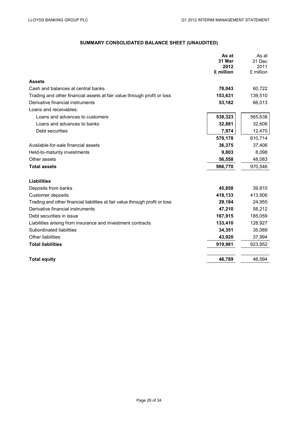# **SUMMARY CONSOLIDATED BALANCE SHEET (UNAUDITED)**

|                                                                              | As at             | As at             |
|------------------------------------------------------------------------------|-------------------|-------------------|
|                                                                              | 31 Mar            | 31 Dec            |
|                                                                              | 2012<br>£ million | 2011<br>£ million |
|                                                                              |                   |                   |
| <b>Assets</b>                                                                |                   |                   |
| Cash and balances at central banks                                           | 78,043            | 60,722            |
| Trading and other financial assets at fair value through profit or loss      | 153,631           | 139,510           |
| Derivative financial instruments                                             | 53,182            | 66,013            |
| Loans and receivables:                                                       |                   |                   |
| Loans and advances to customers                                              | 538,323           | 565,638           |
| Loans and advances to banks                                                  | 32,881            | 32,606            |
| Debt securities                                                              | 7,974             | 12,470            |
|                                                                              | 579,178           | 610,714           |
| Available-for-sale financial assets                                          | 36,375            | 37,406            |
| Held-to-maturity investments                                                 | 9,803             | 8,098             |
| Other assets                                                                 | 56,558            | 48,083            |
| <b>Total assets</b>                                                          | 966,770           | 970,546           |
|                                                                              |                   |                   |
| Liabilities                                                                  |                   |                   |
| Deposits from banks                                                          | 45,858            | 39,810            |
| Customer deposits                                                            | 418,133           | 413,906           |
| Trading and other financial liabilities at fair value through profit or loss | 29,184            | 24,955            |
| Derivative financial instruments                                             | 47,210            | 58,212            |
| Debt securities in issue                                                     | 167,915           | 185,059           |
| Liabilities arising from insurance and investment contracts                  | 133,410           | 128,927           |
| Subordinated liabilities                                                     | 34,351            | 35,089            |
| <b>Other liabilities</b>                                                     | 43,920            | 37,994            |
| <b>Total liabilities</b>                                                     | 919,981           | 923,952           |
|                                                                              |                   |                   |
| <b>Total equity</b>                                                          | 46,789            | 46,594            |
|                                                                              |                   |                   |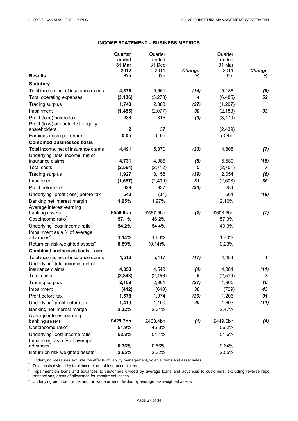## **INCOME STATEMENT – BUSINESS METRICS**

|                                                                                        | Quarter<br>ended<br>31 Mar | Quarter<br>ended<br>31 Dec |             | Quarter<br>ended<br>31 Mar |                    |
|----------------------------------------------------------------------------------------|----------------------------|----------------------------|-------------|----------------------------|--------------------|
| <b>Results</b>                                                                         | 2012<br>£m                 | 2011<br>£m                 | Change<br>℅ | 2011<br>£m                 | <b>Change</b><br>℅ |
| <b>Statutory</b>                                                                       |                            |                            |             |                            |                    |
| Total income, net of insurance claims                                                  | 4,876                      | 5,661                      | (14)        | 5,188                      | (6)                |
| Total operating expenses                                                               | (3, 136)                   | (3,278)                    | 4           | (6, 485)                   | 52                 |
| Trading surplus                                                                        | 1,740                      | 2,383                      | (27)        | (1, 297)                   |                    |
| Impairment                                                                             | (1, 455)                   | (2,077)                    | 30          | (2, 183)                   | 33                 |
| Profit (loss) before tax                                                               | 288                        | 316                        | (9)         | (3,470)                    |                    |
| Profit (loss) attributable to equity<br>shareholders                                   | $\mathbf 2$                | 37                         |             | (2, 439)                   |                    |
| Earnings (loss) per share                                                              | 0.0 <sub>p</sub>           | 0.0 <sub>p</sub>           |             | (3.6)p                     |                    |
| <b>Combined businesses basis</b>                                                       |                            |                            |             |                            |                    |
| Total income, net of insurance claims<br>Underlying <sup>1</sup> total income, net of  | 4,491                      | 5,870                      | (23)        | 4,805                      | (7)                |
| insurance claims                                                                       | 4,731                      | 4,986                      | (5)         | 5,580                      | (15)               |
| <b>Total costs</b>                                                                     | (2, 564)                   | (2,712)                    | 5           | (2,751)                    | 7                  |
| Trading surplus                                                                        | 1,927                      | 3,158                      | (39)        | 2,054                      | (6)                |
| Impairment                                                                             | (1,657)                    | (2,409)                    | 31          | (2,608)                    | 36                 |
| Profit before tax                                                                      | 628                        | 937                        | (33)        | 284                        |                    |
| Underlying <sup>1</sup> profit (loss) before tax                                       | 543                        | (34)                       |             | 661                        | (18)               |
| Banking net interest margin                                                            | 1.95%                      | 1.97%                      |             | 2.16%                      |                    |
| Average interest-earning                                                               |                            |                            |             |                            |                    |
| banking assets                                                                         | £558.8bn                   | £567.5bn                   | (2)         | £603.5bn                   | (7)                |
| Cost:income ratio <sup>2</sup>                                                         | 57.1%                      | 46.2%                      |             | 57.3%                      |                    |
| Underlying <sup>1</sup> cost:income ratio <sup>2</sup>                                 | 54.2%                      | 54.4%                      |             | 49.3%                      |                    |
| Impairment as a % of average<br>advances <sup>3</sup>                                  | 1.14%                      | 1.63%                      |             | 1.70%                      |                    |
| Return on risk-weighted assets <sup>4</sup>                                            | 0.59%                      | (0.14)%                    |             | 0.23%                      |                    |
| Combined businesses basis - core                                                       |                            |                            |             |                            |                    |
| Total income, net of insurance claims<br>Underlying <sup>1</sup> total income, net of  | 4,512                      | 5,417                      | (17)        | 4,484                      | 1                  |
| insurance claims                                                                       | 4,353                      | 4,543                      | (4)         | 4,881                      | (11)               |
| Total costs                                                                            | (2, 343)                   | (2, 456)                   | 5           | (2, 519)                   | 7                  |
| <b>Trading surplus</b>                                                                 | 2,169                      | 2,961                      | (27)        | 1,965                      | 10                 |
| Impairment                                                                             | (412)                      | (640)                      | 36          | (729)                      | 43                 |
| Profit before tax                                                                      | 1,578                      | 1,974                      | (20)        | 1,206                      | 31                 |
| Underlying <sup>1</sup> profit before tax                                              | 1,419                      | 1,100                      | 29          | 1,603                      | (11)               |
| Banking net interest margin                                                            | 2.32%                      | 2.34%                      |             | 2.47%                      |                    |
| Average interest-earning                                                               |                            |                            |             |                            |                    |
| banking assets                                                                         | £429.7bn                   | £433.4bn                   | (1)         | £449.6bn                   | (4)                |
| Cost:income ratio <sup>2</sup>                                                         | 51.9%                      | 45.3%                      |             | 56.2%                      |                    |
| Underlying <sup>1</sup> cost:income ratio <sup>2</sup><br>Impairment as a % of average | 53.8%                      | 54.1%                      |             | 51.6%                      |                    |
| advances <sup>3</sup>                                                                  | 0.36%                      | 0.56%                      |             | 0.64%                      |                    |
| Return on risk-weighted assets <sup>4</sup>                                            | 2.65%                      | 2.32%                      |             | 2.55%                      |                    |

<sup>1</sup> Underlying measures exclude the effects of liability management, volatile items and asset sales.

2 Total costs divided by total income, net of insurance claims.

<sup>3</sup> Impairment on loans and advances to customers divided by average loans and advances to customers, excluding reverse repo transactions, gross of allowance for impairment losses.

<sup>4</sup> Underlying profit before tax and fair value unwind divided by average risk-weighted assets.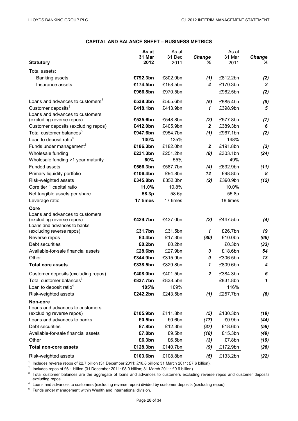# **CAPITAL AND BALANCE SHEET – BUSINESS METRICS**

| <b>Statutory</b>                                                            | As at<br>31 Mar<br>2012 | As at<br>31 Dec<br>2011 | Change<br>℅             | As at<br>31 Mar<br>2011 | Change<br>%             |
|-----------------------------------------------------------------------------|-------------------------|-------------------------|-------------------------|-------------------------|-------------------------|
|                                                                             |                         |                         |                         |                         |                         |
| Total assets:                                                               | £792.3bn                |                         |                         | £812.2bn                |                         |
| Banking assets<br>Insurance assets                                          | £174.5bn                | £802.0bn<br>£168.5bn    | (1)<br>$\boldsymbol{4}$ | £170.3bn                | (2)<br>$\boldsymbol{2}$ |
|                                                                             |                         |                         |                         |                         |                         |
|                                                                             | £966.8bn                | £970.5bn                |                         | £982.5bn                | (2)                     |
| Loans and advances to customers <sup>1</sup>                                | £538.3bn                | £565.6bn                | (5)                     | £585.4bn                | (8)                     |
| Customer deposits <sup>2</sup>                                              | £418.1bn                | £413.9bn                | 1                       | £398.9bn                | 5                       |
| Loans and advances to customers                                             |                         |                         |                         |                         |                         |
| (excluding reverse repos)                                                   | £535.6bn                | £548.8bn                | (2)                     | £577.8bn<br>£389.3bn    | (7)                     |
| Customer deposits (excluding repos)<br>Total customer balances <sup>3</sup> | £412.0bn<br>£947.6bn    | £405.9bn<br>£954.7bn    | $\boldsymbol{2}$        | £967.1bn                | 6<br>(2)                |
| Loan to deposit ratio <sup>4</sup>                                          | 130%                    | 135%                    | (1)                     | 148%                    |                         |
| Funds under management <sup>5</sup>                                         | £186.3bn                | £182.0bn                | $\boldsymbol{2}$        | £191.8bn                |                         |
|                                                                             | £231.3bn                | £251.2bn                |                         | £303.1bn                | (3)                     |
| Wholesale funding<br>Wholesale funding >1 year maturity                     | 60%                     | 55%                     | (8)                     | 49%                     | (24)                    |
| <b>Funded assets</b>                                                        | £566.3bn                | £587.7bn                |                         | £632.9bn                |                         |
| Primary liquidity portfolio                                                 | £106.4bn                | £94.8bn                 | (4)<br>12               | £98.8bn                 | (11)<br>8               |
|                                                                             | £345.8bn                | £352.3bn                |                         | £390.9bn                | (12)                    |
| Risk-weighted assets<br>Core tier 1 capital ratio                           | 11.0%                   | 10.8%                   | (2)                     | 10.0%                   |                         |
| Net tangible assets per share                                               | 58.3p                   | 58.6p                   |                         | 55.8p                   |                         |
|                                                                             | 17 times                | 17 times                |                         | 18 times                |                         |
| Leverage ratio                                                              |                         |                         |                         |                         |                         |
| Core<br>Loans and advances to customers                                     |                         |                         |                         |                         |                         |
| (excluding reverse repos)                                                   | £429.7bn                | £437.0bn                | (2)                     | £447.5bn                | (4)                     |
| Loans and advances to banks                                                 |                         |                         |                         |                         |                         |
| (excluding reverse repos)                                                   | £31.7bn                 | £31.5bn                 | 1                       | £26.7bn                 | 19                      |
| Reverse repos                                                               | £3.4bn                  | £17.3bn                 | (80)                    | £10.0bn                 | (66)                    |
| Debt securities                                                             | £0.2bn                  | £0.2bn                  |                         | £0.3bn                  | (33)                    |
| Available-for-sale financial assets                                         | £28.6bn                 | £27.9bn                 | 3                       | £18.6bn                 | 54                      |
| Other                                                                       | £344.9bn                | £315.9bn                | 9                       | £306.5bn                | 13                      |
| <b>Total core assets</b>                                                    | £838.5bn                | £829.8bn                | 1                       | £809.6bn                | 4                       |
| Customer deposits (excluding repos)                                         | £408.0bn                | £401.5bn                | 2                       | £384.3bn                | 6                       |
| Total customer balances <sup>3</sup>                                        | £837.7bn                | £838.5bn                |                         | £831.8bn                | 1                       |
| Loan to deposit ratio <sup>4</sup>                                          | 105%                    | 109%                    |                         | 116%                    |                         |
| Risk-weighted assets                                                        | £242.2bn                | £243.5bn                | (1)                     | £257.7bn                | (6)                     |
| Non-core                                                                    |                         |                         |                         |                         |                         |
| Loans and advances to customers                                             |                         |                         |                         |                         |                         |
| (excluding reverse repos)                                                   | £105.9bn                | £111.8bn                | (5)                     | £130.3bn                | (19)                    |
| Loans and advances to banks                                                 | £0.5bn                  | £0.6bn                  | (17)                    | £0.9bn                  | (44)                    |
| Debt securities                                                             | £7.8bn                  | £12.3bn                 | (37)                    | £18.6bn                 | (58)                    |
| Available-for-sale financial assets                                         | £7.8bn                  | £9.5bn                  | (18)                    | £15.3bn                 | (49)                    |
| Other                                                                       | £6.3bn                  | £6.5bn                  | (3)                     | £7.8bn                  | (19)                    |
| <b>Total non-core assets</b>                                                | £128.3bn                | £140.7bn                | (9)                     | £172.9bn                | (26)                    |
| Risk-weighted assets                                                        | £103.6bn                | £108.8bn                | (5)                     | £133.2bn                | (22)                    |

<sup>1</sup> Includes reverse repos of £2.7 billion (31 December 2011: £16.8 billion; 31 March 2011: £7.6 billion).

<sup>2</sup> Includes repos of £6.1 billion (31 December 2011: £8.0 billion; 31 March 2011: £9.6 billion).

<sup>3</sup> Total customer balances are the aggregate of loans and advances to customers excluding reverse repos and customer deposits excluding repos.

<sup>4</sup> Loans and advances to customers (excluding reverse repos) divided by customer deposits (excluding repos).

 $5$  Funds under management within Wealth and International division.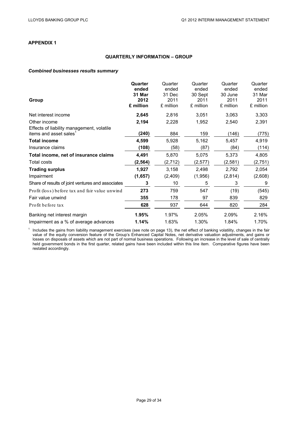# **APPENDIX 1**

# **QUARTERLY INFORMATION – GROUP**

#### *Combined businesses results summary*

|                                                   | Quarter<br>ended<br>31 Mar | Quarter<br>ended<br>31 Dec | Quarter<br>ended<br>30 Sept | Quarter<br>ended<br>30 June | Quarter<br>ended<br>31 Mar |
|---------------------------------------------------|----------------------------|----------------------------|-----------------------------|-----------------------------|----------------------------|
| Group                                             | 2012                       | 2011                       | 2011                        | 2011                        | 2011                       |
|                                                   | £ million                  | £ million                  | £ million                   | £ million                   | £ million                  |
| Net interest income                               | 2,645                      | 2,816                      | 3,051                       | 3,063                       | 3,303                      |
| Other income                                      | 2,194                      | 2,228                      | 1,952                       | 2,540                       | 2,391                      |
| Effects of liability management, volatile         |                            |                            |                             |                             |                            |
| items and asset sales <sup>1</sup>                | (240)                      | 884                        | 159                         | (146)                       | (775)                      |
| <b>Total income</b>                               | 4,599                      | 5,928                      | 5,162                       | 5,457                       | 4,919                      |
| Insurance claims                                  | (108)                      | (58)                       | (87)                        | (84)                        | (114)                      |
| Total income, net of insurance claims             | 4,491                      | 5,870                      | 5,075                       | 5,373                       | 4,805                      |
| <b>Total costs</b>                                | (2, 564)                   | (2,712)                    | (2, 577)                    | (2, 581)                    | (2,751)                    |
| <b>Trading surplus</b>                            | 1,927                      | 3,158                      | 2,498                       | 2,792                       | 2,054                      |
| Impairment                                        | (1,657)                    | (2,409)                    | (1,956)                     | (2,814)                     | (2,608)                    |
| Share of results of joint ventures and associates | 3                          | 10                         | 5                           | 3                           | 9                          |
| Profit (loss) before tax and fair value unwind    | 273                        | 759                        | 547                         | (19)                        | (545)                      |
| Fair value unwind                                 | 355                        | 178                        | 97                          | 839                         | 829                        |
| Profit before tax                                 | 628                        | 937                        | 644                         | 820                         | 284                        |
| Banking net interest margin                       | 1.95%                      | 1.97%                      | 2.05%                       | 2.09%                       | 2.16%                      |
| Impairment as a % of average advances             | 1.14%                      | 1.63%                      | 1.30%                       | 1.84%                       | 1.70%                      |

<sup>1</sup> Includes the gains from liability management exercises (see note on page 13), the net effect of banking volatility, changes in the fair value of the equity conversion feature of the Group's Enhanced Capital Notes, net derivative valuation adjustments, and gains or losses on disposals of assets which are not part of normal business operations. Following an increase in the level of sale of centrally held government bonds in the first quarter, related gains have been included within this line item. Comparative figures have been restated accordingly.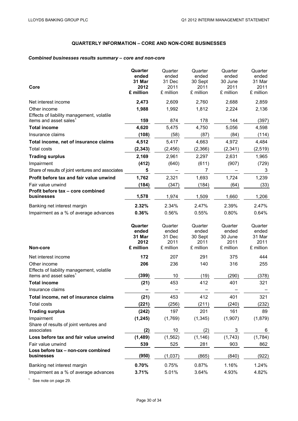# **QUARTERLY INFORMATION – CORE AND NON-CORE BUSINESSES**

## *Combined businesses results summary – core and non-core*

|                                                                                 | Quarter<br>ended                                | Quarter<br>ended                                | Quarter<br>ended                                 | Quarter<br>ended                                 | Quarter<br>ended                                |
|---------------------------------------------------------------------------------|-------------------------------------------------|-------------------------------------------------|--------------------------------------------------|--------------------------------------------------|-------------------------------------------------|
| Core                                                                            | 31 Mar                                          | 31 Dec                                          | 30 Sept                                          | 30 June                                          | 31 Mar                                          |
|                                                                                 | 2012<br>£ million                               | 2011<br>£ million                               | 2011<br>£ million                                | 2011<br>£ million                                | 2011<br>£ million                               |
| Net interest income                                                             | 2,473                                           | 2,609                                           | 2,760                                            | 2,688                                            | 2,859                                           |
| Other income                                                                    | 1,988                                           | 1,992                                           | 1,812                                            | 2,224                                            | 2,136                                           |
| Effects of liability management, volatile<br>items and asset sales <sup>1</sup> | 159                                             | 874                                             | 178                                              | 144                                              | (397)                                           |
| <b>Total income</b>                                                             | 4,620                                           | 5,475                                           | 4,750                                            | 5,056                                            | 4,598                                           |
| Insurance claims                                                                | (108)                                           | (58)                                            | (87)                                             | (84)                                             | (114)                                           |
| Total income, net of insurance claims                                           | 4,512                                           | 5,417                                           | 4,663                                            | 4,972                                            | 4,484                                           |
| <b>Total costs</b>                                                              | (2, 343)                                        | (2, 456)                                        | (2,366)                                          | (2, 341)                                         | (2, 519)                                        |
| <b>Trading surplus</b>                                                          | 2,169                                           | 2,961                                           | 2,297                                            | 2,631                                            | 1,965                                           |
| Impairment                                                                      | (412)                                           | (640)                                           | (611)                                            | (907)                                            | (729)                                           |
| Share of results of joint ventures and associates                               | 5                                               |                                                 | $\overline{7}$                                   |                                                  | 3                                               |
| Profit before tax and fair value unwind                                         | 1,762                                           | 2,321                                           | 1,693                                            | 1,724                                            | 1,239                                           |
| Fair value unwind                                                               | (184)                                           | (347)                                           | (184)                                            | (64)                                             | (33)                                            |
| Profit before tax - core combined<br>businesses                                 | 1,578                                           | 1,974                                           | 1,509                                            | 1,660                                            | 1,206                                           |
| Banking net interest margin                                                     | 2.32%                                           | 2.34%                                           | 2.47%                                            | 2.39%                                            | 2.47%                                           |
| Impairment as a % of average advances                                           | 0.36%                                           | 0.56%                                           | 0.55%                                            | 0.80%                                            | 0.64%                                           |
| Non-core                                                                        | Quarter<br>ended<br>31 Mar<br>2012<br>£ million | Quarter<br>ended<br>31 Dec<br>2011<br>£ million | Quarter<br>ended<br>30 Sept<br>2011<br>£ million | Quarter<br>ended<br>30 June<br>2011<br>£ million | Quarter<br>ended<br>31 Mar<br>2011<br>£ million |
| Net interest income                                                             | 172                                             | 207                                             | 291                                              | 375                                              | 444                                             |
| Other income                                                                    | 206                                             | 236                                             | 140                                              | 316                                              | 255                                             |
| Effects of liability management, volatile<br>items and asset sales <sup>1</sup> | (399)                                           | 10                                              | (19)                                             | (290)                                            | (378)                                           |
| <b>Total income</b>                                                             | (21)                                            | 453                                             | 412                                              | 401                                              | 321                                             |
| Insurance claims                                                                |                                                 |                                                 |                                                  |                                                  |                                                 |
| Total income, net of insurance claims                                           | (21)                                            | 453                                             | 412                                              | 401                                              | 321                                             |
| <b>Total costs</b>                                                              | (221)                                           | (256)                                           | (211)                                            | (240)                                            | (232)                                           |
| <b>Trading surplus</b>                                                          | (242)                                           | 197                                             | 201                                              | 161                                              | 89                                              |
| Impairment<br>Share of results of joint ventures and                            | (1, 245)                                        | (1,769)                                         | (1, 345)                                         | (1,907)                                          | (1,879)                                         |
| associates                                                                      | (2)                                             | 10                                              | (2)                                              | $\ensuremath{\mathsf{3}}$                        | 6                                               |
| Loss before tax and fair value unwind                                           | (1,489)                                         | (1, 562)                                        | (1, 146)                                         | (1,743)                                          | (1,784)                                         |
| Fair value unwind                                                               | 539                                             | 525                                             | 281                                              | 903                                              | 862                                             |
| Loss before tax - non-core combined<br>businesses                               | (950)                                           | (1,037)                                         | (865)                                            | (840)                                            | (922)                                           |
| Banking net interest margin                                                     | 0.70%                                           | 0.75%                                           | 0.87%                                            | 1.16%                                            | 1.24%                                           |
| Impairment as a % of average advances                                           | 3.71%                                           | 5.01%                                           | 3.64%                                            | 4.93%                                            | 4.82%                                           |

 $1$  See note on page 29.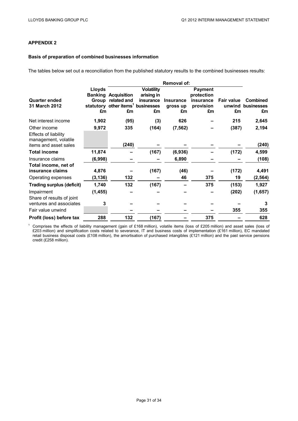# **APPENDIX 2**

#### **Basis of preparation of combined businesses information**

The tables below set out a reconciliation from the published statutory results to the combined businesses results:

|                                              | Removal of: |                                               |                                 |                  |                              |                   |                 |
|----------------------------------------------|-------------|-----------------------------------------------|---------------------------------|------------------|------------------------------|-------------------|-----------------|
|                                              | Lloyds      | <b>Banking Acquisition</b>                    | <b>Volatility</b><br>arising in |                  | <b>Payment</b><br>protection |                   |                 |
| <b>Quarter ended</b>                         | Group       | related and                                   | insurance                       | <b>Insurance</b> | insurance                    | <b>Fair value</b> | <b>Combined</b> |
| 31 March 2012                                |             | statutory other items <sup>1</sup> businesses |                                 | gross up         | provision                    | unwind            | businesses      |
|                                              | £m          | £m                                            | £m                              | £m               | £m                           | £m                | £m              |
| Net interest income                          | 1,902       | (95)                                          | (3)                             | 626              |                              | 215               | 2,645           |
| Other income                                 | 9,972       | 335                                           | (164)                           | (7, 562)         |                              | (387)             | 2,194           |
| Effects of liability<br>management, volatile |             |                                               |                                 |                  |                              |                   |                 |
| items and asset sales                        |             | (240)                                         |                                 |                  |                              |                   | (240)           |
| <b>Total income</b>                          | 11,874      |                                               | (167)                           | (6,936)          |                              | (172)             | 4,599           |
| Insurance claims                             | (6,998)     |                                               |                                 | 6,890            |                              |                   | (108)           |
| Total income, net of                         |             |                                               |                                 |                  |                              |                   |                 |
| insurance claims                             | 4,876       |                                               | (167)                           | (46)             |                              | (172)             | 4,491           |
| Operating expenses                           | (3, 136)    | 132                                           |                                 | 46               | 375                          | 19                | (2, 564)        |
| <b>Trading surplus (deficit)</b>             | 1,740       | 132                                           | (167)                           |                  | 375                          | (153)             | 1,927           |
| Impairment                                   | (1, 455)    |                                               |                                 |                  |                              | (202)             | (1,657)         |
| Share of results of joint                    |             |                                               |                                 |                  |                              |                   |                 |
| ventures and associates                      | 3           |                                               |                                 |                  |                              |                   | 3               |
| Fair value unwind                            |             |                                               |                                 |                  |                              | 355               | 355             |
| Profit (loss) before tax                     | 288         | 132                                           | (167)                           |                  | 375                          |                   | 628             |

 $1$  Comprises the effects of liability management (gain of £168 million), volatile items (loss of £205 million) and asset sales (loss of £203 million) and simplification costs related to severance, IT and business costs of implementation (£161 million), EC mandated retail business disposal costs (£108 million), the amortisation of purchased intangibles (£121 million) and the past service pensions credit (£258 million).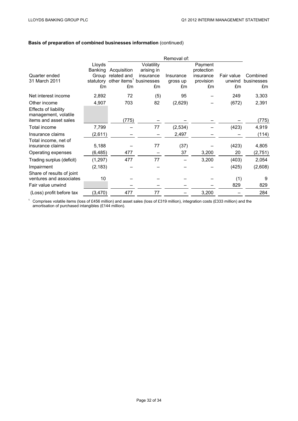# **Basis of preparation of combined businesses information** (continued)

|                                                      | Removal of:       |                                               |                          |           |                       |            |            |
|------------------------------------------------------|-------------------|-----------------------------------------------|--------------------------|-----------|-----------------------|------------|------------|
|                                                      | Lloyds<br>Banking | Acquisition                                   | Volatility<br>arising in |           | Payment<br>protection |            |            |
| Quarter ended                                        | Group             | related and                                   | insurance                | Insurance | insurance             | Fair value | Combined   |
| 31 March 2011                                        |                   | statutory other items <sup>1</sup> businesses |                          | gross up  | provision             | unwind     | businesses |
|                                                      | £m                | £m                                            | £m                       | £m        | £m                    | £m         | £m         |
| Net interest income                                  | 2,892             | 72                                            | (5)                      | 95        |                       | 249        | 3,303      |
| Other income                                         | 4,907             | 703                                           | 82                       | (2,629)   |                       | (672)      | 2,391      |
| <b>Effects of liability</b><br>management, volatile  |                   |                                               |                          |           |                       |            |            |
| items and asset sales                                |                   | (775)                                         |                          |           |                       |            | (775)      |
| Total income                                         | 7,799             |                                               | 77                       | (2,534)   |                       | (423)      | 4,919      |
| Insurance claims                                     | (2,611)           |                                               |                          | 2,497     |                       |            | (114)      |
| Total income, net of                                 |                   |                                               |                          |           |                       |            |            |
| insurance claims                                     | 5,188             |                                               | 77                       | (37)      |                       | (423)      | 4,805      |
| Operating expenses                                   | (6, 485)          | 477                                           |                          | 37        | 3,200                 | 20         | (2,751)    |
| Trading surplus (deficit)                            | (1, 297)          | 477                                           | 77                       |           | 3,200                 | (403)      | 2,054      |
| Impairment                                           | (2, 183)          |                                               |                          |           |                       | (425)      | (2,608)    |
| Share of results of joint<br>ventures and associates | 10                |                                               |                          |           |                       | (1)        | 9          |
| Fair value unwind                                    |                   |                                               |                          |           |                       | 829        | 829        |
| (Loss) profit before tax                             | (3, 470)          | 477                                           | 77                       |           | 3,200                 |            | 284        |

<sup>1</sup> Comprises volatile items (loss of £456 million) and asset sales (loss of £319 million), integration costs (£333 million) and the amortisation of purchased intangibles (£144 million).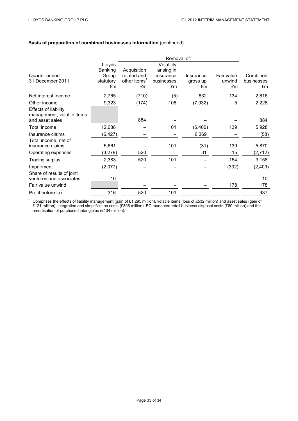# **Basis of preparation of combined businesses information** (continued)

|                                                                              |                                               | Removal of:                                                  |                                                           |                             |                            |                              |  |
|------------------------------------------------------------------------------|-----------------------------------------------|--------------------------------------------------------------|-----------------------------------------------------------|-----------------------------|----------------------------|------------------------------|--|
| Quarter ended<br>31 December 2011                                            | Lloyds<br>Banking<br>Group<br>statutory<br>£m | Acquisition<br>related and<br>other items <sup>1</sup><br>£m | Volatility<br>arising in<br>insurance<br>businesses<br>£m | Insurance<br>gross up<br>£m | Fair value<br>unwind<br>£m | Combined<br>businesses<br>£m |  |
|                                                                              |                                               |                                                              |                                                           |                             |                            |                              |  |
| Net interest income                                                          | 2,765                                         | (710)                                                        | (5)                                                       | 632                         | 134                        | 2,816                        |  |
| Other income                                                                 | 9,323                                         | (174)                                                        | 106                                                       | (7,032)                     | 5                          | 2,228                        |  |
| <b>Effects of liability</b><br>management, volatile items<br>and asset sales |                                               | 884                                                          |                                                           |                             |                            | 884                          |  |
| Total income                                                                 | 12,088                                        |                                                              | 101                                                       | (6,400)                     | 139                        | 5,928                        |  |
| Insurance claims                                                             | (6, 427)                                      |                                                              |                                                           | 6,369                       |                            | (58)                         |  |
| Total income, net of<br>insurance claims<br>Operating expenses               | 5,661<br>(3,278)                              | 520                                                          | 101                                                       | (31)<br>31                  | 139<br>15                  | 5,870<br>(2,712)             |  |
| <b>Trading surplus</b>                                                       | 2,383                                         | 520                                                          | 101                                                       |                             | 154                        | 3,158                        |  |
| Impairment                                                                   | (2,077)                                       |                                                              |                                                           |                             | (332)                      | (2, 409)                     |  |
| Share of results of joint<br>ventures and associates                         | 10                                            |                                                              |                                                           |                             |                            | 10                           |  |
| Fair value unwind                                                            |                                               |                                                              |                                                           |                             | 178                        | 178                          |  |
| Profit before tax                                                            | 316                                           | 520                                                          | 101                                                       |                             |                            | 937                          |  |

<sup>1</sup> Comprises the effects of liability management (gain of £1,295 million), volatile items (loss of £532 million) and asset sales (gain of £121 million), integration and simplification costs (£306 million), EC mandated retail business disposal costs (£80 million) and the amortisation of purchased intangibles (£134 million).